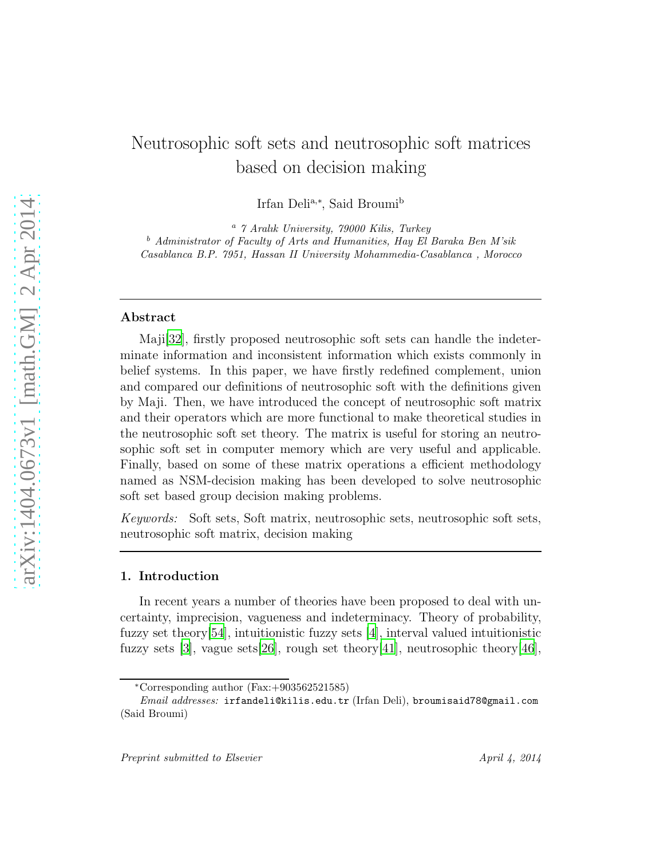# Neutrosophic soft sets and neutrosophic soft matrices based on decision making

Irfan Deli<sup>a,∗</sup>, Said Broumi<sup>b</sup>

<sup>a</sup> *7 Aralık University, 79000 Kilis, Turkey* <sup>b</sup> *Administrator of Faculty of Arts and Humanities, Hay El Baraka Ben M'sik Casablanca B.P. 7951, Hassan II University Mohammedia-Casablanca , Morocco*

#### Abstract

Maji[\[32](#page-25-0)], firstly proposed neutrosophic soft sets can handle the indeterminate information and inconsistent information which exists commonly in belief systems. In this paper, we have firstly redefined complement, union and compared our definitions of neutrosophic soft with the definitions given by Maji. Then, we have introduced the concept of neutrosophic soft matrix and their operators which are more functional to make theoretical studies in the neutrosophic soft set theory. The matrix is useful for storing an neutrosophic soft set in computer memory which are very useful and applicable. Finally, based on some of these matrix operations a efficient methodology named as NSM-decision making has been developed to solve neutrosophic soft set based group decision making problems.

*Keywords:* Soft sets, Soft matrix, neutrosophic sets, neutrosophic soft sets, neutrosophic soft matrix, decision making

## 1. Introduction

In recent years a number of theories have been proposed to deal with uncertainty, imprecision, vagueness and indeterminacy. Theory of probability, fuzzy set theory[\[54\]](#page-27-0), intuitionistic fuzzy sets [\[4](#page-23-0)], interval valued intuitionistic fuzzy sets [\[3\]](#page-22-0), vague sets[\[26\]](#page-24-0), rough set theory[\[41](#page-26-0)], neutrosophic theory[\[46\]](#page-26-1),

<sup>∗</sup>Corresponding author (Fax:+903562521585)

*Email addresses:* irfandeli@kilis.edu.tr (Irfan Deli), broumisaid78@gmail.com (Said Broumi)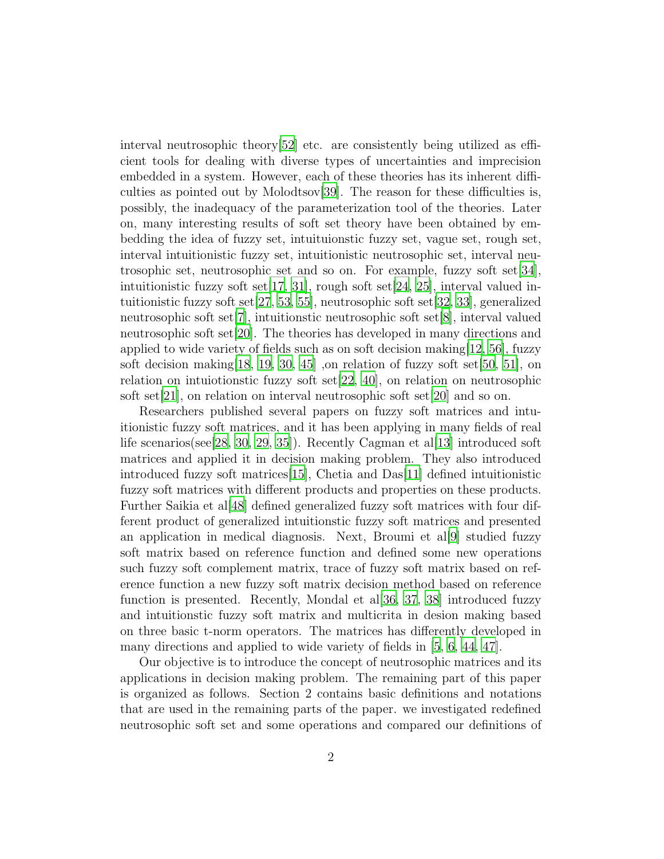interval neutrosophic theory[\[52\]](#page-27-1) etc. are consistently being utilized as efficient tools for dealing with diverse types of uncertainties and imprecision embedded in a system. However, each of these theories has its inherent difficulties as pointed out by Molodtsov[\[39](#page-25-1)]. The reason for these difficulties is, possibly, the inadequacy of the parameterization tool of the theories. Later on, many interesting results of soft set theory have been obtained by embedding the idea of fuzzy set, intuituionstic fuzzy set, vague set, rough set, interval intuitionistic fuzzy set, intuitionistic neutrosophic set, interval neutrosophic set, neutrosophic set and so on. For example, fuzzy soft set[\[34\]](#page-25-2), intuitionistic fuzzy soft set $[17, 31]$  $[17, 31]$  $[17, 31]$  $[17, 31]$ , rough soft set $[24, 25]$  $[24, 25]$  $[24, 25]$ , interval valued intuitionistic fuzzy soft set[\[27](#page-24-4), [53](#page-27-2), [55](#page-27-3)], neutrosophic soft set[\[32](#page-25-0), [33](#page-25-4)], generalized neutrosophic soft set[\[7](#page-23-1)], intuitionstic neutrosophic soft set[\[8](#page-23-2)], interval valued neutrosophic soft set[\[20\]](#page-24-5). The theories has developed in many directions and applied to wide variety of fields such as on soft decision making  $|12, 56|$ , fuzzy soft decision making [\[18,](#page-24-6) [19](#page-24-7), [30,](#page-25-5) [45\]](#page-26-2), on relation of fuzzy soft set [\[50,](#page-26-3) [51](#page-26-4)], on relation on intuiotionstic fuzzy soft set[\[22,](#page-24-8) [40\]](#page-26-5), on relation on neutrosophic soft set[\[21\]](#page-24-9), on relation on interval neutrosophic soft set[\[20\]](#page-24-5) and so on.

Researchers published several papers on fuzzy soft matrices and intuitionistic fuzzy soft matrices, and it has been applying in many fields of real life scenarios(see [\[28](#page-24-10), [30](#page-25-5), [29,](#page-25-6) [35\]](#page-25-7)). Recently Cagman et al. [\[13](#page-23-4)] introduced soft matrices and applied it in decision making problem. They also introduced introduced fuzzy soft matrices[\[15\]](#page-23-5), Chetia and Das[\[11\]](#page-23-6) defined intuitionistic fuzzy soft matrices with different products and properties on these products. Further Saikia et al[\[48](#page-26-6)] defined generalized fuzzy soft matrices with four different product of generalized intuitionstic fuzzy soft matrices and presented an application in medical diagnosis. Next, Broumi et al[\[9](#page-23-7)] studied fuzzy soft matrix based on reference function and defined some new operations such fuzzy soft complement matrix, trace of fuzzy soft matrix based on reference function a new fuzzy soft matrix decision method based on reference function is presented. Recently, Mondal et al[\[36](#page-25-8), [37,](#page-25-9) [38\]](#page-25-10) introduced fuzzy and intuitionstic fuzzy soft matrix and multicrita in desion making based on three basic t-norm operators. The matrices has differently developed in many directions and applied to wide variety of fields in [\[5](#page-23-8), [6](#page-23-9), [44](#page-26-7), [47\]](#page-26-8).

Our objective is to introduce the concept of neutrosophic matrices and its applications in decision making problem. The remaining part of this paper is organized as follows. Section 2 contains basic definitions and notations that are used in the remaining parts of the paper. we investigated redefined neutrosophic soft set and some operations and compared our definitions of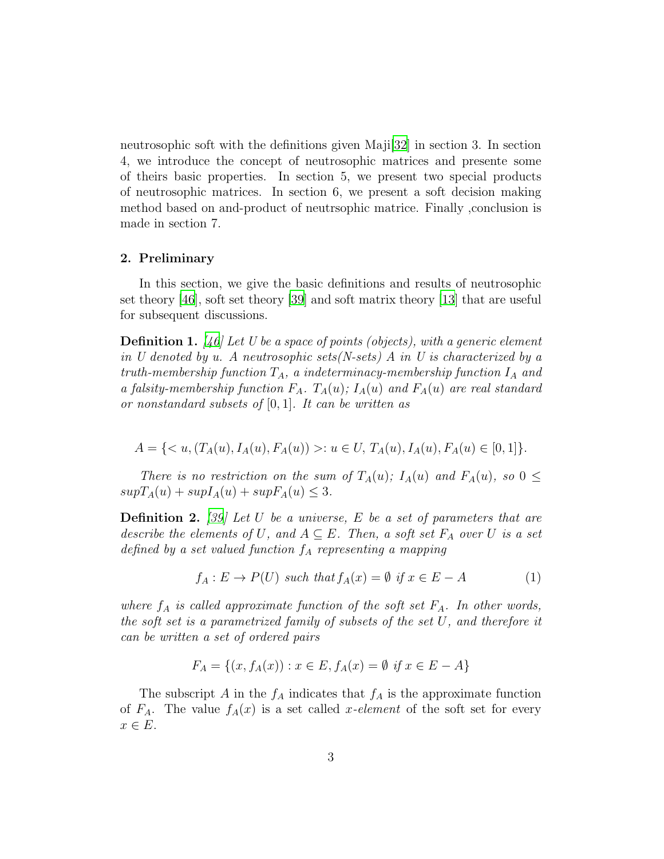neutrosophic soft with the definitions given Maji[\[32](#page-25-0)] in section 3. In section 4, we introduce the concept of neutrosophic matrices and presente some of theirs basic properties. In section 5, we present two special products of neutrosophic matrices. In section 6, we present a soft decision making method based on and-product of neutrsophic matrice. Finally ,conclusion is made in section 7.

## 2. Preliminary

In this section, we give the basic definitions and results of neutrosophic set theory [\[46\]](#page-26-1), soft set theory [\[39](#page-25-1)] and soft matrix theory [\[13\]](#page-23-4) that are useful for subsequent discussions.

Definition 1. *[\[46](#page-26-1)] Let U be a space of points (objects), with a generic element in U denoted by u. A neutrosophic sets(N-sets) A in U is characterized by a*  $truth\text{-}membership\ function\ T_A, \ a\ indeterminacy\text{-}membership\ function\ I_A \ and$ *a falsity-membership function*  $F_A$ .  $T_A(u)$ ;  $I_A(u)$  *and*  $F_A(u)$  *are real standard or nonstandard subsets of* [0, 1]*. It can be written as*

$$
A = \{ \langle u, (T_A(u), I_A(u), F_A(u)) \rangle : u \in U, T_A(u), I_A(u), F_A(u) \in [0, 1] \}.
$$

*There is no restriction on the sum of*  $T_A(u)$ ;  $I_A(u)$  and  $F_A(u)$ , so  $0 \leq$  $supT_A(u) + supI_A(u) + supF_A(u) \leq 3.$ 

Definition 2. *[\[39\]](#page-25-1) Let* U *be a universe,* E *be a set of parameters that are describe the elements of* U, and  $A \subseteq E$ . Then, a soft set  $F_A$  over U is a set *defined by a set valued function*  $f_A$  *representing a mapping* 

$$
f_A: E \to P(U) \text{ such that } f_A(x) = \emptyset \text{ if } x \in E - A
$$
 (1)

*where*  $f_A$  *is called approximate function of the soft set*  $F_A$ *. In other words, the soft set is a parametrized family of subsets of the set* U*, and therefore it can be written a set of ordered pairs*

$$
F_A = \{(x, f_A(x)) : x \in E, f_A(x) = \emptyset \text{ if } x \in E - A\}
$$

The subscript A in the  $f_A$  indicates that  $f_A$  is the approximate function of  $F_A$ . The value  $f_A(x)$  is a set called x-element of the soft set for every  $x \in E$ .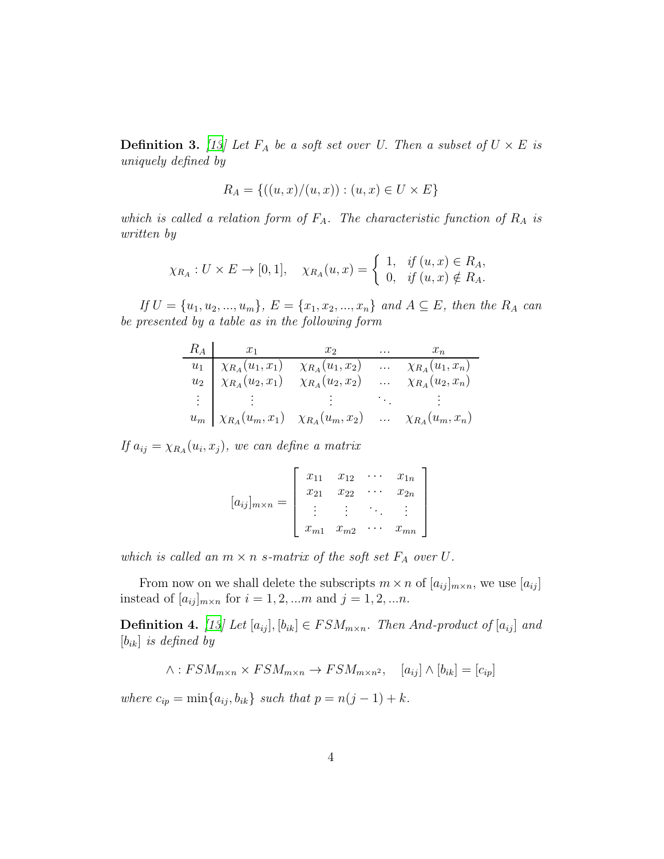**Definition 3.** [\[13](#page-23-4)] Let  $F_A$  be a soft set over U. Then a subset of  $U \times E$  is *uniquely defined by*

$$
R_A = \{ ((u, x)/(u, x)) : (u, x) \in U \times E \}
$$

*which is called a relation form of*  $F_A$ . The *characteristic function of*  $R_A$  *is written by*

$$
\chi_{R_A}: U \times E \to [0,1], \quad \chi_{R_A}(u,x) = \begin{cases} 1, & \text{if } (u,x) \in R_A, \\ 0, & \text{if } (u,x) \notin R_A. \end{cases}
$$

*If*  $U = \{u_1, u_2, ..., u_m\}$ ,  $E = \{x_1, x_2, ..., x_n\}$  and  $A \subseteq E$ , then the  $R_A$  can *be presented by a table as in the following form*

|  | $R_A$ $x_1$ $x_2$ $\ldots$ $x_n$                                                                                                                                                                         |  |
|--|----------------------------------------------------------------------------------------------------------------------------------------------------------------------------------------------------------|--|
|  | $u_1$ $\chi_{R_A}(u_1, x_1)$ $\chi_{R_A}(u_1, x_2)$ $\chi_{R_A}(u_1, x_n)$<br>$u_2$ $\chi_{R_A}(u_2, x_1)$ $\chi_{R_A}(u_2, x_2)$ $\chi_{R_A}(u_2, x_n)$                                                 |  |
|  |                                                                                                                                                                                                          |  |
|  | $\mathbb{E}[\mathbf{1}^T \times \mathbf{1}^T \times \mathbf{1}^T] = \mathbb{E}[\mathbf{1}^T \times \mathbf{1}^T \times \mathbf{1}^T] = \mathbb{E}[\mathbf{1}^T \times \mathbf{1}^T \times \mathbf{1}^T]$ |  |
|  | $u_m \mid \chi_{R_A}(u_m, x_1) \quad \chi_{R_A}(u_m, x_2) \quad \dots \quad \chi_{R_A}(u_m, x_n)$                                                                                                        |  |

 $If a_{ij} = \chi_{R_A}(u_i, x_j), we can define a matrix$ 

$$
[a_{ij}]_{m \times n} = \begin{bmatrix} x_{11} & x_{12} & \cdots & x_{1n} \\ x_{21} & x_{22} & \cdots & x_{2n} \\ \vdots & \vdots & \ddots & \vdots \\ x_{m1} & x_{m2} & \cdots & x_{mn} \end{bmatrix}
$$

*which is called an*  $m \times n$  *s*-matrix of the soft set  $F_A$  over  $U$ .

From now on we shall delete the subscripts  $m \times n$  of  $[a_{ij}]_{m \times n}$ , we use  $[a_{ij}]$ instead of  $[a_{ij}]_{m \times n}$  for  $i = 1, 2, ...m$  and  $j = 1, 2, ...n$ .

**Definition 4.** [\[13\]](#page-23-4) Let  $[a_{ij}]$ ,  $[b_{ik}] \in FSM_{m \times n}$ . Then And-product of  $[a_{ij}]$  and [bik] *is defined by*

$$
\wedge : FSM_{m \times n} \times FSM_{m \times n} \to FSM_{m \times n^2}, \quad [a_{ij}] \wedge [b_{ik}] = [c_{ip}]
$$

*where*  $c_{ip} = \min\{a_{ij}, b_{ik}\}$  *such that*  $p = n(j - 1) + k$ *.*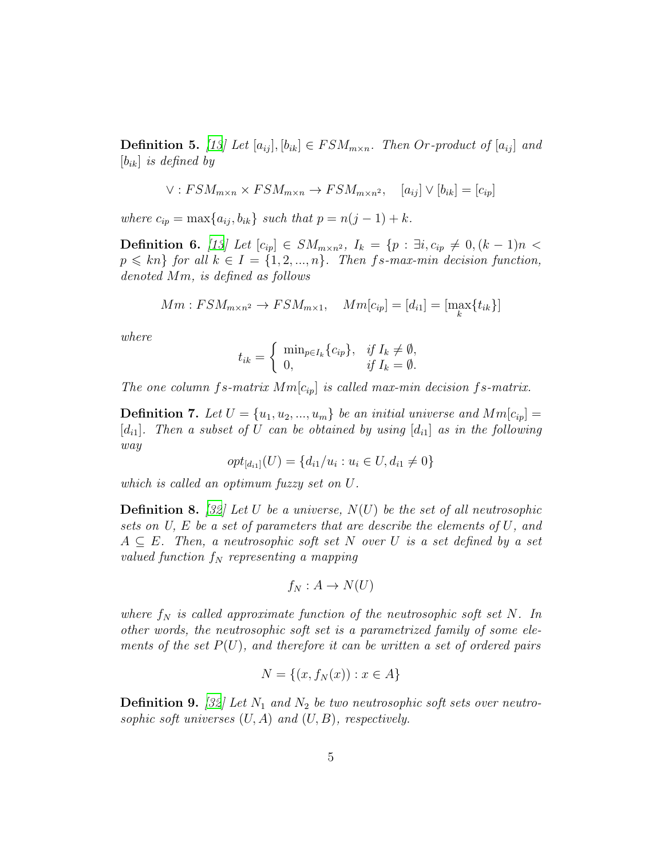**Definition 5.** [\[13\]](#page-23-4) Let  $[a_{ij}], [b_{ik}] \in FSM_{m \times n}$ . Then Or-product of  $[a_{ij}]$  and [bik] *is defined by*

$$
\vee:FSM_{m\times n}\times FSM_{m\times n}\to FSM_{m\times n^2}, \quad [a_{ij}]\vee [b_{ik}] = [c_{ip}]
$$

*where*  $c_{ip} = \max\{a_{ij}, b_{ik}\}\$  *such that*  $p = n(j - 1) + k$ *.* 

**Definition 6.** [\[13\]](#page-23-4) Let  $[c_{ip}]$  ∈  $SM_{m \times n^2}$ ,  $I_k = \{p : \exists i, c_{ip} \neq 0, (k - 1)n$  <  $p \leq k n$  *for all*  $k \in I = \{1, 2, ..., n\}$ *. Then fs-max-min decision function, denoted* Mm*, is defined as follows*

$$
Mm:FSM_{m\times n^2} \to FSM_{m\times 1}, \quad Mm[c_{ip}] = [d_{i1}] = [\max_{k} \{t_{ik}\}]
$$

*where*

$$
t_{ik} = \begin{cases} \min_{p \in I_k} \{c_{ip}\}, & \text{if } I_k \neq \emptyset, \\ 0, & \text{if } I_k = \emptyset. \end{cases}
$$

*The one column* fs-matrix  $Mm[c_{ip}]$  *is called max-min decision fs-matrix.* 

**Definition 7.** Let  $U = \{u_1, u_2, ..., u_m\}$  be an initial universe and  $Mm[c_{ip}] =$  $[d_{i1}]$ . Then a subset of U can be obtained by using  $[d_{i1}]$  as in the following *way*

$$
opt_{[d_{i1}]}(U) = \{d_{i1}/u_i : u_i \in U, d_{i1} \neq 0\}
$$

*which is called an optimum fuzzy set on* U*.*

Definition 8. *[\[32\]](#page-25-0) Let* U *be a universe,* N(U) *be the set of all neutrosophic sets on U,* E *be a set of parameters that are describe the elements of* U*, and* A ⊆ E*. Then, a neutrosophic soft set* N *over* U *is a set defined by a set valued function*  $f_N$  *representing a mapping* 

$$
f_N: A \to N(U)
$$

*where*  $f_N$  *is called approximate function of the neutrosophic soft set*  $N$ *. In other words, the neutrosophic soft set is a parametrized family of some elements of the set* P(U)*, and therefore it can be written a set of ordered pairs*

$$
N = \{(x, f_N(x)) : x \in A\}
$$

**Definition 9.** [\[32\]](#page-25-0) Let  $N_1$  and  $N_2$  be two neutrosophic soft sets over neutro*sophic soft universes* (U, A) *and* (U, B)*, respectively.*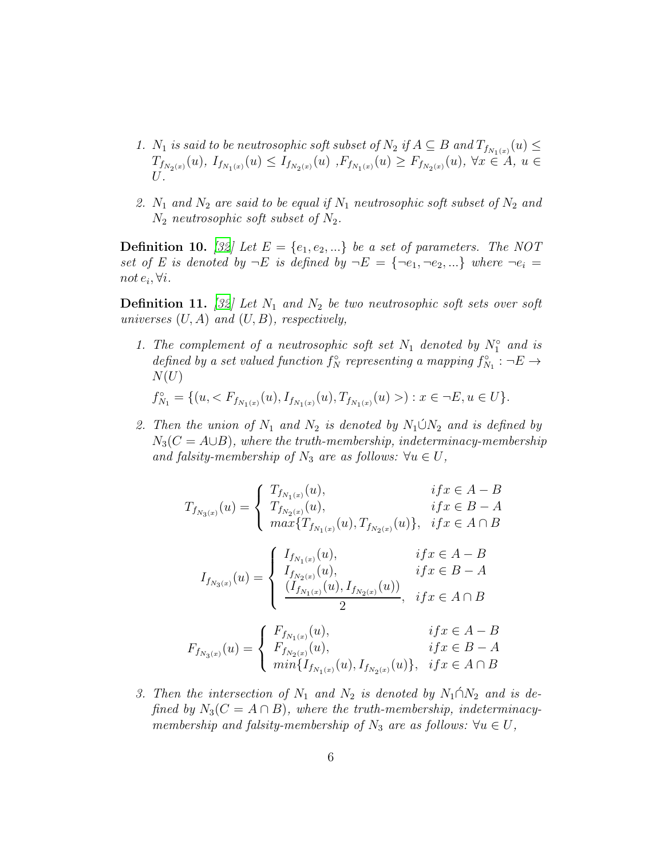- 1.  $N_1$  *is said to be neutrosophic soft subset of*  $N_2$  *if*  $A \subseteq B$  *and*  $T_{f_{N_1(x)}}(u) \le$  $T_{f_{N_2(x)}}(u),\ I_{f_{N_1(x)}}(u) \leq I_{f_{N_2(x)}}(u)\, ,F_{f_{N_1(x)}}(u) \geq F_{f_{N_2(x)}}(u),\ \forall x\in A,\ u\in A.$ U*.*
- 2.  $N_1$  *and*  $N_2$  *are said to be equal if*  $N_1$  *neutrosophic soft subset of*  $N_2$  *and*  $N_2$  *neutrosophic soft subset of*  $N_2$ .

**Definition 10.** [\[32](#page-25-0)] Let  $E = \{e_1, e_2, ...\}$  be a set of parameters. The NOT *set of E is denoted by*  $\neg E$  *is defined by*  $\neg E = {\neg e_1, \neg e_2, ...\}$  *where*  $\neg e_i$ not  $e_i$ ,  $\forall i$ *.* 

**Definition 11.** [\[32](#page-25-0)] Let  $N_1$  and  $N_2$  be two neutrosophic soft sets over soft *universes* (U, A) *and* (U, B)*, respectively,*

1. The complement of a neutrosophic soft set  $N_1$  denoted by  $N_1^{\circ}$  and is *defined by a set valued function*  $f_N^{\circ}$  *representing a mapping*  $f_N^{\circ}$  $S_{N_1}$  :  $\neg E \rightarrow$  $N(U)$ 

$$
f_{N_1}^{\circ} = \{ (u, < F_{f_{N_1(x)}}(u), \\ I_{f_{N_1(x)}}(u), T_{f_{N_1(x)}}(u) > ) : x \in \neg E, u \in U \}.
$$

2. Then the union of  $N_1$  and  $N_2$  is denoted by  $N_1 \cup N_2$  and is defined by  $N_3(C = A \cup B)$ , where the truth-membership, indeterminacy-membership *and falsity-membership of*  $N_3$  *are as follows:*  $\forall u \in U$ ,

$$
T_{f_{N_3(x)}}(u) = \begin{cases} T_{f_{N_1(x)}}(u), & if x \in A - B \\ T_{f_{N_2(x)}}(u), & if x \in B - A \\ \max\{T_{f_{N_1(x)}}(u), T_{f_{N_2(x)}}(u)\}, & if x \in A \cap B \end{cases}
$$

$$
I_{f_{N_3(x)}}(u) = \begin{cases} I_{f_{N_1(x)}}(u), & if x \in A - B \\ I_{f_{N_2(x)}}(u), & if x \in B - A \\ \frac{(I_{f_{N_1(x)}}(u), I_{f_{N_2(x)}}(u))}{2}, & if x \in A \cap B \end{cases}
$$

$$
(F_{f_{N_1(x)}}(u), & if x \in A - B \end{cases}
$$

$$
F_{f_{N_3(x)}}(u) = \begin{cases} F_{f_{N_1(x)}}(u), & if x \in A - B \\ F_{f_{N_2(x)}}(u), & if x \in B - A \\ min\{I_{f_{N_1(x)}}(u), I_{f_{N_2(x)}}(u)\}, & if x \in A \cap B \end{cases}
$$

3. Then the intersection of  $N_1$  and  $N_2$  is denoted by  $N_1 \cap N_2$  and is de*fined by*  $N_3(C = A \cap B)$ *, where the truth-membership, indeterminacymembership and falsity-membership of*  $N_3$  *are as follows:*  $\forall u \in U$ ,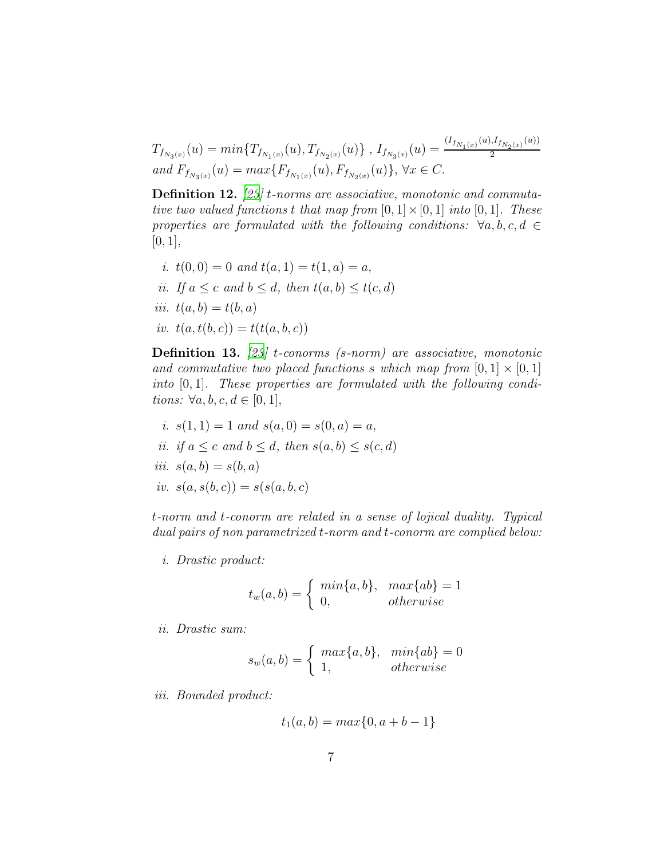$$
T_{f_{N_3(x)}}(u) = \min\{T_{f_{N_1(x)}}(u), T_{f_{N_2(x)}}(u)\}, I_{f_{N_3(x)}}(u) = \frac{(I_{f_{N_1(x)}}(u), I_{f_{N_2(x)}}(u))}{2}
$$
  
and  $F_{f_{N_3(x)}}(u) = \max\{F_{f_{N_1(x)}}(u), F_{f_{N_2(x)}}(u)\}, \forall x \in C.$ 

Definition 12. *[\[23](#page-24-11)]* t*-norms are associative, monotonic and commutative two valued functions* t *that map from*  $[0, 1] \times [0, 1]$  *into*  $[0, 1]$ *. These properties are formulated with the following conditions:*  $\forall a, b, c, d \in$  $[0, 1],$ 

*i.*  $t(0,0) = 0$  *and*  $t(a, 1) = t(1, a) = a$ , *ii.* If  $a \leq c$  and  $b \leq d$ , then  $t(a, b) \leq t(c, d)$ *iii.*  $t(a, b) = t(b, a)$ *iv.*  $t(a, t(b, c)) = t(t(a, b, c))$ 

Definition 13. *[\[23](#page-24-11)]* t*-conorms (*s*-norm) are associative, monotonic and commutative two placed functions* s which map from  $[0, 1] \times [0, 1]$ *into* [0, 1]*. These properties are formulated with the following conditions:*  $\forall a, b, c, d \in [0, 1]$ ,

*i.* 
$$
s(1, 1) = 1
$$
 and  $s(a, 0) = s(0, a) = a$ ,  
*ii.* if  $a \le c$  and  $b \le d$ , then  $s(a, b) \le s(c, d)$   
*iii.*  $s(a, b) = s(b, a)$   
*iv.*  $s(a, s(b, c)) = s(s(a, b, c))$ 

t*-norm and* t*-conorm are related in a sense of lojical duality. Typical dual pairs of non parametrized* t*-norm and* t*-conorm are complied below:*

*i. Drastic product:*

$$
t_w(a,b) = \begin{cases} min\{a,b\}, & max\{ab\} = 1\\ 0, & otherwise \end{cases}
$$

*ii. Drastic sum:*

$$
s_w(a,b) = \begin{cases} max\{a,b\}, & min\{ab\} = 0\\ 1, & otherwise \end{cases}
$$

*iii. Bounded product:*

$$
t_1(a, b) = max\{0, a + b - 1\}
$$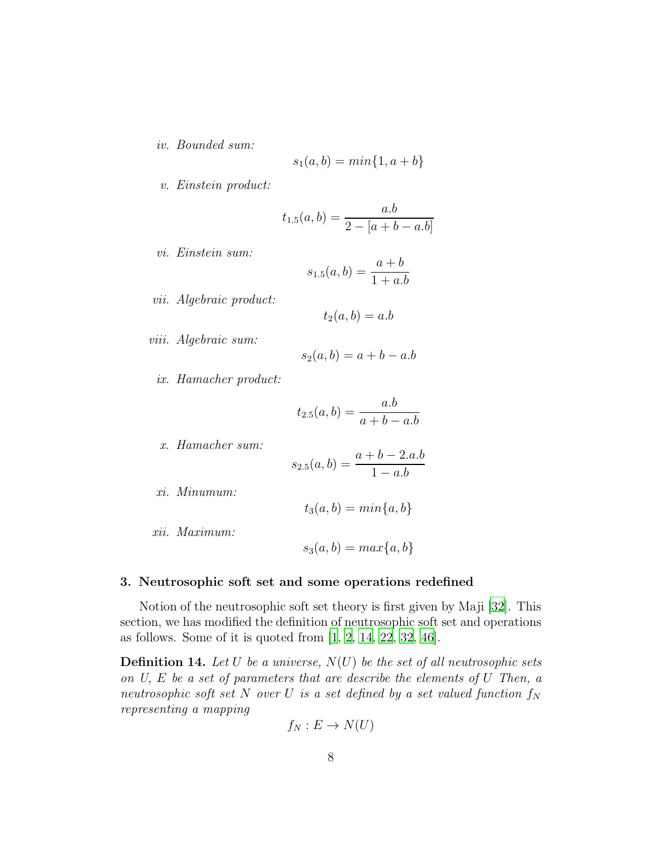*iv. Bounded sum:*

$$
s_1(a, b) = min\{1, a+b\}
$$

*v. Einstein product:*

$$
t_{1.5}(a,b) = \frac{a.b}{2 - [a+b-a.b]}
$$

*vi. Einstein sum:*

$$
s_{1.5}(a, b) = \frac{a+b}{1+a.b}
$$

*vii. Algebraic product:*

$$
t_2(a,b) = a.b
$$

*viii. Algebraic sum:*

$$
s_2(a,b) = a + b - a.b
$$

*ix. Hamacher product:*

$$
t_{2.5}(a, b) = \frac{a.b}{a + b - a.b}
$$

*x. Hamacher sum:*

$$
s_{2.5}(a,b) = \frac{a+b-2.a.b}{1-a.b}
$$

- *xi. Minumum:*
- $t_3(a, b) = min\{a, b\}$
- *xii. Maximum:*

$$
s_3(a,b) = max\{a,b\}
$$

#### 3. Neutrosophic soft set and some operations redefined

Notion of the neutrosophic soft set theory is first given by Maji [\[32](#page-25-0)]. This section, we has modified the definition of neutrosophic soft set and operations as follows. Some of it is quoted from  $[1, 2, 14, 22, 32, 46]$  $[1, 2, 14, 22, 32, 46]$  $[1, 2, 14, 22, 32, 46]$  $[1, 2, 14, 22, 32, 46]$  $[1, 2, 14, 22, 32, 46]$  $[1, 2, 14, 22, 32, 46]$  $[1, 2, 14, 22, 32, 46]$  $[1, 2, 14, 22, 32, 46]$  $[1, 2, 14, 22, 32, 46]$ .

Definition 14. *Let* U *be a universe,* N(U) *be the set of all neutrosophic sets on U,* E *be a set of parameters that are describe the elements of* U *Then, a neutrosophic soft set* N *over* U *is a set defined by a set valued function*  $f_N$ *representing a mapping*

$$
f_N: E \to N(U)
$$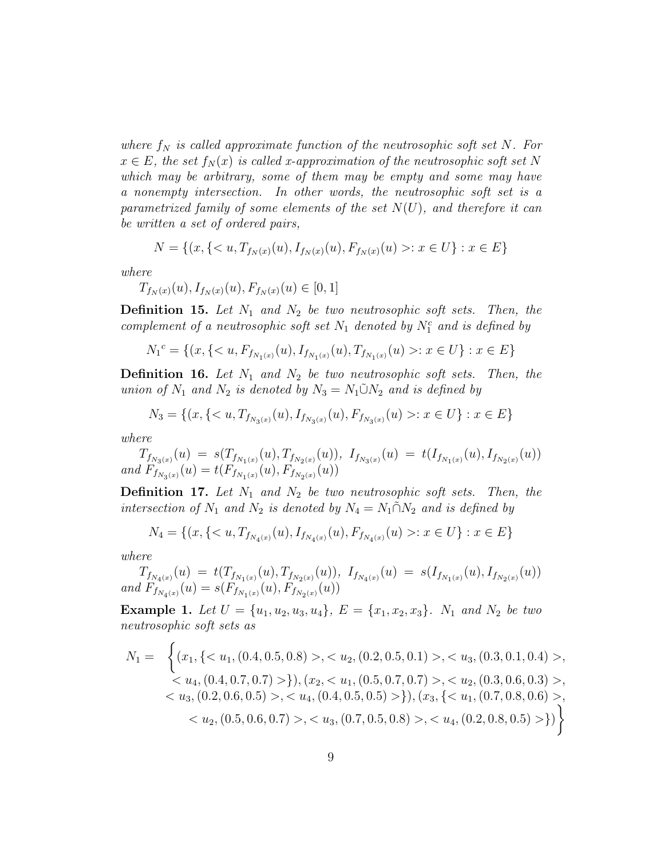where  $f_N$  is called approximate function of the neutrosophic soft set N. For  $x \in E$ , the set  $f_N(x)$  is called x-approximation of the neutrosophic soft set N *which may be arbitrary, some of them may be empty and some may have a nonempty intersection. In other words, the neutrosophic soft set is a parametrized family of some elements of the set* N(U)*, and therefore it can be written a set of ordered pairs,*

$$
N = \{(x, \{< u, T_{f_N(x)}(u), I_{f_N(x)}(u), F_{f_N(x)}(u) > : x \in U\} : x \in E\}
$$

*where*

 $T_{f_N(x)}(u), I_{f_N(x)}(u), F_{f_N(x)}(u) \in [0,1]$ 

**Definition 15.** Let  $N_1$  and  $N_2$  be two neutrosophic soft sets. Then, the *complement of a neutrosophic soft set*  $N_1$  *denoted by*  $N_1^c$  *and is defined by* 

$$
{N_1}^c = \{(x, \{ : x \in U\} : x \in E\}
$$

**Definition 16.** Let  $N_1$  and  $N_2$  be two neutrosophic soft sets. Then, the *union of*  $N_1$  *and*  $N_2$  *is denoted by*  $N_3 = N_1 \tilde{\cup} N_2$  *and is defined by* 

$$
N_3 = \{(x, \{< u, T_{f_{N_3(x)}}(u), I_{f_{N_3(x)}}(u), F_{f_{N_3(x)}}(u) > : x \in U\} : x \in E\}
$$

*where*

 $T_{f_{N_3(x)}}(u) \ = \ s( T_{f_{N_1(x)}}(u), T_{f_{N_2(x)}}(u)), \ \ I_{f_{N_3(x)}}(u) \ = \ t(I_{f_{N_1(x)}}(u), I_{f_{N_2(x)}}(u))$ and  $F_{f_{N_3(x)}}(u) = t(F_{f_{N_1(x)}}(u), F_{f_{N_2(x)}}(u))$ 

**Definition 17.** Let  $N_1$  and  $N_2$  be two neutrosophic soft sets. Then, the *intersection of*  $N_1$  *and*  $N_2$  *is denoted by*  $N_4 = N_1 \tilde{\cap} N_2$  *and is defined by* 

$$
N_4 = \{(x, \{< u, T_{f_{N_4(x)}}(u), I_{f_{N_4(x)}}(u), F_{f_{N_4(x)}}(u) > : x \in U\} : x \in E\}
$$

*where*

$$
T_{f_{N_4(x)}}(u) = t(T_{f_{N_1(x)}}(u), T_{f_{N_2(x)}}(u)), \ I_{f_{N_4(x)}}(u) = s(I_{f_{N_1(x)}}(u), I_{f_{N_2(x)}}(u))
$$
  
and  $F_{f_{N_4(x)}}(u) = s(F_{f_{N_1(x)}}(u), F_{f_{N_2(x)}}(u))$ 

<span id="page-8-0"></span>**Example 1.** Let  $U = \{u_1, u_2, u_3, u_4\}$ ,  $E = \{x_1, x_2, x_3\}$ .  $N_1$  and  $N_2$  be two *neutrosophic soft sets as*

$$
N_1 = \left\{ (x_1, \{ < u_1, (0.4, 0.5, 0.8) > , < u_2, (0.2, 0.5, 0.1) > , < u_3, (0.3, 0.1, 0.4) > , < u_4, (0.4, 0.7, 0.7) > \}, (x_2, < u_1, (0.5, 0.7, 0.7) > , < u_2, (0.3, 0.6, 0.3) > , < u_3, (0.2, 0.6, 0.5) > , < u_4, (0.4, 0.5, 0.5) > \}, (x_3, \{ < u_1, (0.7, 0.8, 0.6) > , < u_2, (0.5, 0.6, 0.7) > , < u_3, (0.7, 0.5, 0.8) > , < u_4, (0.2, 0.8, 0.5) > \} \right\}
$$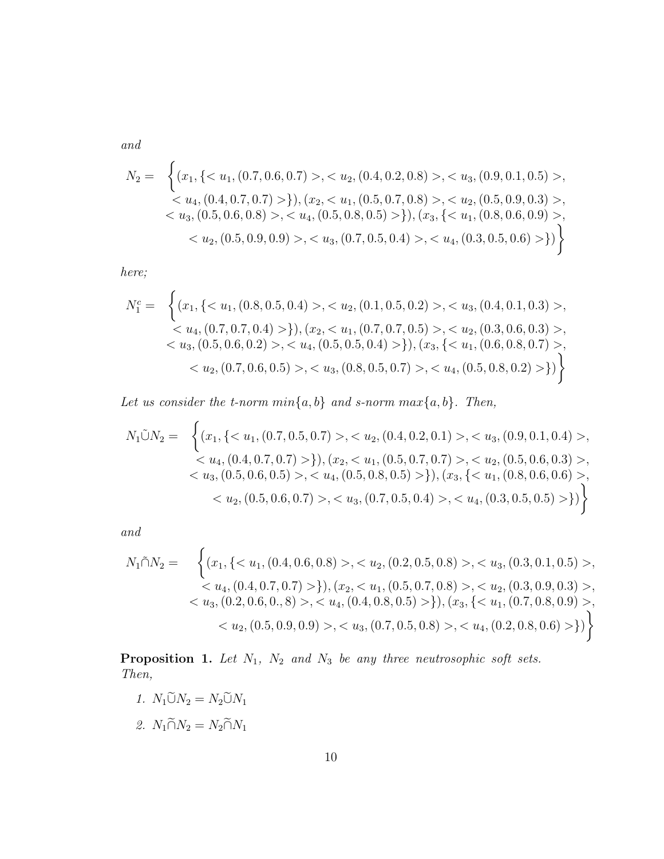*and*

$$
N_2 = \left\{ (x_1, \{ < u_1, (0.7, 0.6, 0.7) > \, < u_2, (0.4, 0.2, 0.8) > \, < u_3, (0.9, 0.1, 0.5) > \, < u_4, (0.4, 0.7, 0.7) > \}, (x_2, < u_1, (0.5, 0.7, 0.8) > \, < u_2, (0.5, 0.9, 0.3) > \, < u_3, (0.5, 0.6, 0.8) > \, < u_4, (0.5, 0.8, 0.5) > \}, (x_3, \{ < u_1, (0.8, 0.6, 0.9) > \, < u_2, (0.5, 0.9, 0.9) > \, < u_3, (0.7, 0.5, 0.4) > \, < u_4, (0.3, 0.5, 0.6) > \} \right\}
$$

*here;*

$$
N_1^c = \left\{ (x_1, \{ < u_1, (0.8, 0.5, 0.4) > , < u_2, (0.1, 0.5, 0.2) > , < u_3, (0.4, 0.1, 0.3) > , < u_4, (0.7, 0.7, 0.4) > \}, (x_2, < u_1, (0.7, 0.7, 0.5) > , < u_2, (0.3, 0.6, 0.3) > , < u_3, (0.5, 0.6, 0.2) > , < u_4, (0.5, 0.5, 0.4) > \}, (x_3, \{ < u_1, (0.6, 0.8, 0.7) > , < u_2, (0.7, 0.6, 0.5) > , < u_3, (0.8, 0.5, 0.7) > , < u_4, (0.5, 0.8, 0.2) > \} \right\}
$$

Let us consider the *t*-norm  $min\{a, b\}$  and *s*-norm  $max\{a, b\}$ . Then,

$$
N_1\tilde{\cup}N_2 = \left\{ (x_1, \{< u_1, (0.7, 0.5, 0.7) > , < u_2, (0.4, 0.2, 0.1) > , < u_3, (0.9, 0.1, 0.4) > , < u_4, (0.4, 0.7, 0.7) > \}, (x_2, < u_1, (0.5, 0.7, 0.7) > , < u_2, (0.5, 0.6, 0.3) > , < u_3, (0.5, 0.6, 0.5) > , < u_4, (0.5, 0.8, 0.5) > \}, (x_3, \{< u_1, (0.8, 0.6, 0.6) > , < u_2, (0.5, 0.6, 0.7) > , < u_3, (0.7, 0.5, 0.4) > , < u_4, (0.3, 0.5, 0.5) > \} \right\}
$$

*and*

$$
N_1 \tilde{\cap} N_2 = \left\{ (x_1, \{< u_1, (0.4, 0.6, 0.8) > , < u_2, (0.2, 0.5, 0.8) > , < u_3, (0.3, 0.1, 0.5) > , < u_4, (0.4, 0.7, 0.7) > \}, (x_2, < u_1, (0.5, 0.7, 0.8) > , < u_2, (0.3, 0.9, 0.3) > , < u_3, (0.2, 0.6, 0.8) > , < u_4, (0.4, 0.8, 0.5) > \}, (x_3, \{< u_1, (0.7, 0.8, 0.9) > , < u_2, (0.5, 0.9, 0.9) > , < u_3, (0.7, 0.5, 0.8) > , < u_4, (0.2, 0.8, 0.6) > \} \right\}
$$

Proposition 1. Let  $N_1$ ,  $N_2$  and  $N_3$  be any three neutrosophic soft sets. *Then,*

- *1.*  $N_1 \widetilde{\cup} N_2 = N_2 \widetilde{\cup} N_1$
- 2.  $N_1 \widetilde{\cap} N_2 = N_2 \widetilde{\cap} N_1$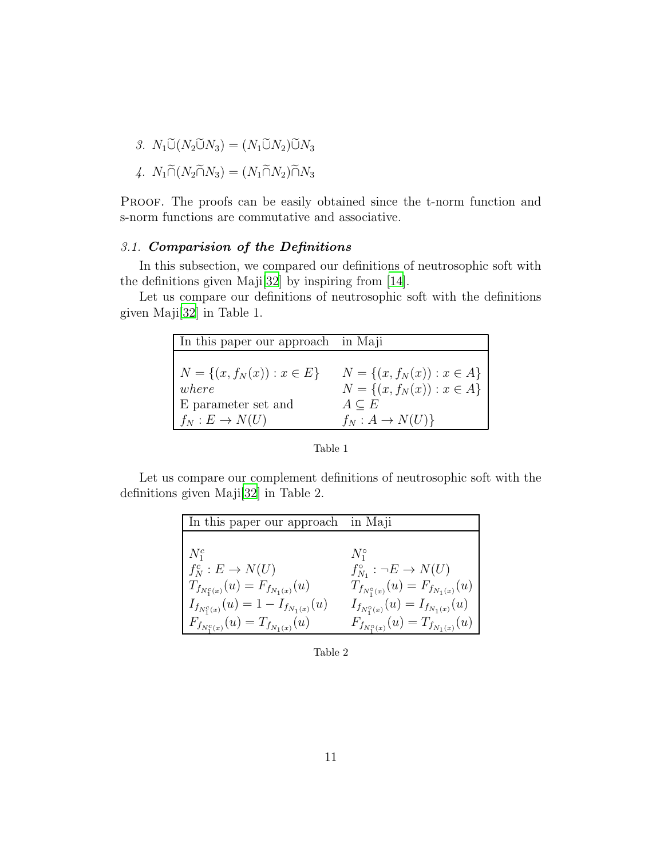- 3.  $N_1\widetilde{\cup}(N_2\widetilde{\cup}N_3)=(N_1\widetilde{\cup}N_2)\widetilde{\cup}N_3$
- 4.  $N_1 \widetilde{\cap} (N_2 \widetilde{\cap} N_3) = (N_1 \widetilde{\cap} N_2) \widetilde{\cap} N_3$

Proof. The proofs can be easily obtained since the t-norm function and s-norm functions are commutative and associative.

# *3.1.* Comparision of the Definitions

In this subsection, we compared our definitions of neutrosophic soft with the definitions given Maji[\[32](#page-25-0)] by inspiring from [\[14\]](#page-23-10).

Let us compare our definitions of neutrosophic soft with the definitions given Maji[\[32](#page-25-0)] in Table 1.

| In this paper our approach in Maji       |                                                                    |
|------------------------------------------|--------------------------------------------------------------------|
| $N = \{(x, f_N(x)) : x \in E\}$<br>where | $N = \{(x, f_N(x)) : x \in A\}$<br>$N = \{(x, f_N(x)) : x \in A\}$ |
| E parameter set and                      | $A\subseteq E$                                                     |
| $f_N: E \to N(U)$                        | $f_N: A \to N(U)$                                                  |

Table 1

Let us compare our complement definitions of neutrosophic soft with the definitions given Maji[\[32](#page-25-0)] in Table 2.

| In this paper our approach in Maji            |                                                 |
|-----------------------------------------------|-------------------------------------------------|
|                                               |                                                 |
| $N_1^c$                                       | $N_1^{\circ}$                                   |
| $f_N^c : E \to N(U)$                          | $f_{N_1}^{\circ} : \neg E \to N(U)$             |
| $T_{f_{N_1^c(x)}}(u) = F_{f_{N_1(x)}}(u)$     | $T_{f_{N_1^{\circ}(x)}}(u) = F_{f_{N_1(x)}}(u)$ |
| $I_{f_{N_1^c(x)}}(u) = 1 - I_{f_{N_1(x)}}(u)$ | $I_{f_{N_1^{\circ}(x)}}(u) = I_{f_{N_1(x)}}(u)$ |
| $F_{f_{N_1^c(x)}}(u) = T_{f_{N_1(x)}}(u)$     | $F_{f_{N_1^{\circ}(x)}}(u) = T_{f_{N_1(x)}}(u)$ |

Table 2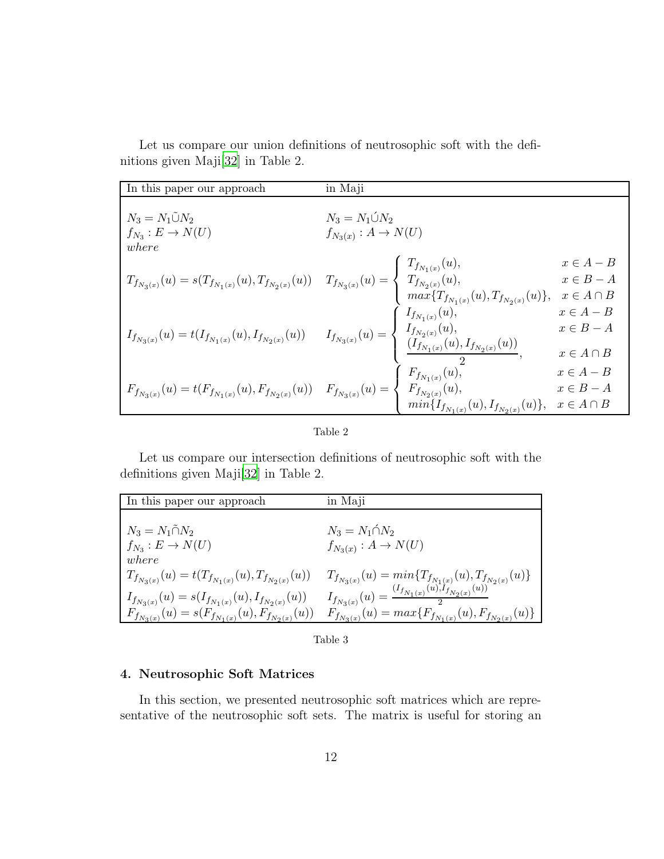Let us compare our union definitions of neutrosophic soft with the definitions given Maji[\[32\]](#page-25-0) in Table 2.

| In this paper our approach                                                                                                                                                                                                                                                   | in Maji                                                  |                                                    |
|------------------------------------------------------------------------------------------------------------------------------------------------------------------------------------------------------------------------------------------------------------------------------|----------------------------------------------------------|----------------------------------------------------|
| $N_3 = N_1 \tilde{\cup} N_2$<br>$f_{N_3}: E \to N(U)$<br>where                                                                                                                                                                                                               | $N_3 = N_1 \acute{\cup} N_2$<br>$f_{N_3(x)}: A \to N(U)$ |                                                    |
| $T_{f_{N_3(x)}}(u) = s(T_{f_{N_1(x)}}(u), T_{f_{N_2(x)}}(u)) \quad \  T_{f_{N_3(x)}}(u) = \left\{ \begin{array}{l} T_{f_{N_1(x)}}(u), \\ T_{f_{N_2(x)}}(u), \\ \max\{T_{f_{N_1(x)}}(u), T_{f_{N_2(x)}}(u)\}, \end{array} \right.$                                            |                                                          | $x \in A - B$<br>$x \in B - A$<br>$x \in A \cap B$ |
| $I_{f_{N_3(x)}}(u) = t(I_{f_{N_1(x)}}(u),I_{f_{N_2(x)}}(u)) \qquad I_{f_{N_3(x)}}(u) = \left\{ \begin{array}{ll} I_{f_{N_1(x)}}(u), & x \in A-B \\ I_{f_{N_2(x)}}(u), & x \in B-A \\ \dfrac{(I_{f_{N_1(x)}}(u),I_{f_{N_2(x)}}(u))}{2}, & x \in A \cap B \end{array} \right.$ |                                                          |                                                    |
| $F_{f_{N_3(x)}}(u) = t(F_{f_{N_1(x)}}(u), F_{f_{N_2(x)}}(u)) \quad \  F_{f_{N_3(x)}}(u) = \left\{ \begin{array}{l} F_{f_{N_1(x)}}(u), \\ F_{f_{N_2(x)}}(u), \\ \min\{I_{f_{N_1(x)}}(u), I_{f_{N_2(x)}}(u)\}, \end{array} \right.$                                            |                                                          | $x \in A - B$<br>$x\in B-A$<br>$x \in A \cap B$    |

|--|--|

Let us compare our intersection definitions of neutrosophic soft with the definitions given Maji[\[32](#page-25-0)] in Table 2.

| In this paper our approach                                    | in Maji                                                                |
|---------------------------------------------------------------|------------------------------------------------------------------------|
|                                                               |                                                                        |
| $N_3 = N_1 \tilde{\cap} N_2$                                  | $N_3 = N_1 \cap N_2$                                                   |
| $f_{N_3}: E \to N(U)$                                         | $f_{N_3(x)}: A \to N(U)$                                               |
| where                                                         |                                                                        |
| $T_{f_{N_3(x)}}(u) = t(T_{f_{N_1(x)}}(u), T_{f_{N_2(x)}}(u))$ | $T_{f_{N_3(x)}}(u) = min\{T_{f_{N_1(x)}}(u), T_{f_{N_2(x)}}(u)\}$      |
| $I_{f_{N_3(x)}}(u) = s(I_{f_{N_1(x)}}(u), I_{f_{N_2(x)}}(u))$ | $I_{f_{N_3(x)}}(u) = \frac{(I_{f_{N_1(x)}}(u), I_{f_{N_2(x)}}(u))}{u}$ |
| $F_{f_{N_3(x)}}(u) = s(F_{f_{N_1(x)}}(u), F_{f_{N_2(x)}}(u))$ | $F_{f_{N_3(x)}}(u) = max\{F_{f_{N_1(x)}}(u), F_{f_{N_2(x)}}(u)\}$      |

Table 3

# 4. Neutrosophic Soft Matrices

In this section, we presented neutrosophic soft matrices which are representative of the neutrosophic soft sets. The matrix is useful for storing an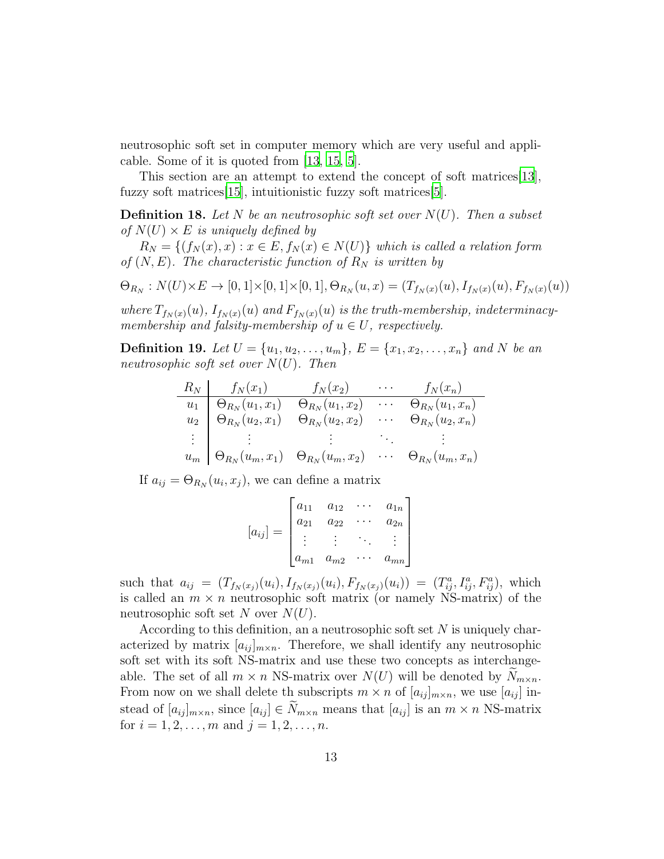neutrosophic soft set in computer memory which are very useful and applicable. Some of it is quoted from [\[13,](#page-23-4) [15,](#page-23-5) [5\]](#page-23-8).

This section are an attempt to extend the concept of soft matrices[\[13\]](#page-23-4), fuzzy soft matrices[\[15\]](#page-23-5), intuitionistic fuzzy soft matrices[\[5](#page-23-8)].

Definition 18. *Let* N *be an neutrosophic soft set over* N(U)*. Then a subset of*  $N(U) \times E$  *is uniquely defined by* 

 $R_N = \{(f_N(x), x) : x \in E, f_N(x) \in N(U)\}\$  which is called a relation form *of*  $(N, E)$ *. The characteristic function of*  $R_N$  *is written by* 

$$
\Theta_{R_N}: N(U) \times E \to [0,1] \times [0,1] \times [0,1], \Theta_{R_N}(u,x) = (T_{f_N(x)}(u), I_{f_N(x)}(u), F_{f_N(x)}(u))
$$

where  $T_{f_N(x)}(u)$ ,  $I_{f_N(x)}(u)$  and  $F_{f_N(x)}(u)$  *is the truth-membership, indeterminacymembership and falsity-membership of*  $u \in U$ *, respectively.* 

**Definition 19.** Let  $U = \{u_1, u_2, \ldots, u_m\}$ ,  $E = \{x_1, x_2, \ldots, x_n\}$  and N be an *neutrosophic soft set over* N(U)*. Then*

$$
\begin{array}{c|cccc} R_N & f_N(x_1) & f_N(x_2) & \cdots & f_N(x_n) \\ \hline u_1 & \Theta_{R_N}(u_1, x_1) & \Theta_{R_N}(u_1, x_2) & \cdots & \Theta_{R_N}(u_1, x_n) \\ u_2 & \Theta_{R_N}(u_2, x_1) & \Theta_{R_N}(u_2, x_2) & \cdots & \Theta_{R_N}(u_2, x_n) \\ \vdots & \vdots & \vdots & \ddots & \vdots \\ u_m & \Theta_{R_N}(u_m, x_1) & \Theta_{R_N}(u_m, x_2) & \cdots & \Theta_{R_N}(u_m, x_n) \end{array}
$$

If  $a_{ij} = \Theta_{R_N}(u_i, x_j)$ , we can define a matrix

$$
[a_{ij}] = \begin{bmatrix} a_{11} & a_{12} & \cdots & a_{1n} \\ a_{21} & a_{22} & \cdots & a_{2n} \\ \vdots & \vdots & \ddots & \vdots \\ a_{m1} & a_{m2} & \cdots & a_{mn} \end{bmatrix}
$$

such that  $a_{ij} = (T_{f_N(x_j)}(u_i), I_{f_N(x_j)}(u_i), F_{f_N(x_j)}(u_i)) = (T_{ij}^a, I_{ij}^a, F_{ij}^a)$ , which is called an  $m \times n$  neutrosophic soft matrix (or namely NS-matrix) of the neutrosophic soft set N over  $N(U)$ .

According to this definition, an a neutrosophic soft set  $N$  is uniquely characterized by matrix  $[a_{ij}]_{m \times n}$ . Therefore, we shall identify any neutrosophic soft set with its soft NS-matrix and use these two concepts as interchangeable. The set of all  $m \times n$  NS-matrix over  $N(U)$  will be denoted by  $N_{m \times n}$ . From now on we shall delete th subscripts  $m \times n$  of  $[a_{ij}]_{m \times n}$ , we use  $[a_{ij}]$  instead of  $[a_{ij}]_{m \times n}$ , since  $[a_{ij}] \in N_{m \times n}$  means that  $[a_{ij}]$  is an  $m \times n$  NS-matrix for  $i = 1, 2, ..., m$  and  $j = 1, 2, ..., n$ .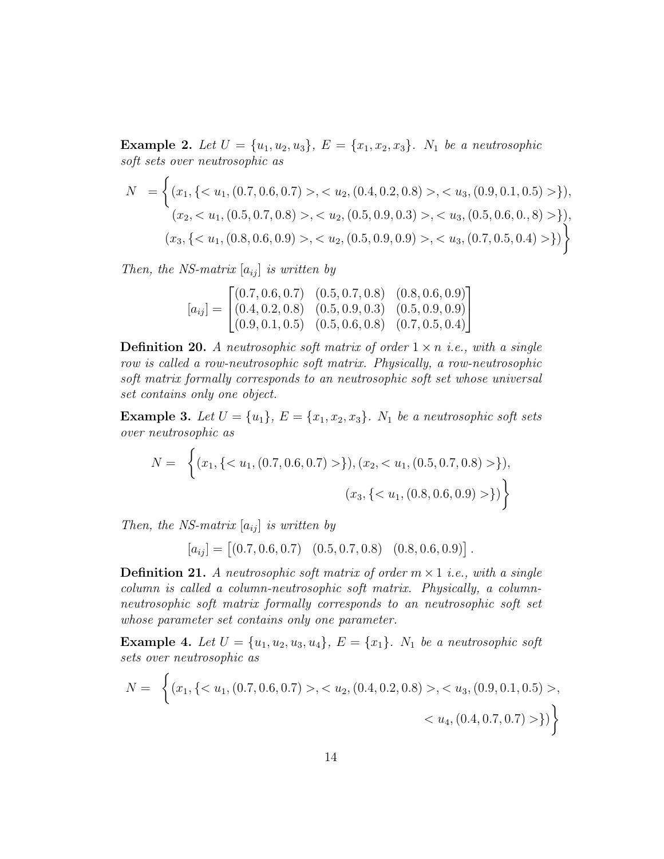<span id="page-13-0"></span>**Example 2.** Let  $U = \{u_1, u_2, u_3\}$ ,  $E = \{x_1, x_2, x_3\}$ .  $N_1$  be a neutrosophic *soft sets over neutrosophic as*

$$
N = \left\{ (x_1, \{ < u_1, (0.7, 0.6, 0.7) > , < u_2, (0.4, 0.2, 0.8) > , < u_3, (0.9, 0.1, 0.5) > \}, \\ (x_2, < u_1, (0.5, 0.7, 0.8) > , < u_2, (0.5, 0.9, 0.3) > , < u_3, (0.5, 0.6, 0.8) > \}, \\ (x_3, \{ < u_1, (0.8, 0.6, 0.9) > , < u_2, (0.5, 0.9, 0.9) > , < u_3, (0.7, 0.5, 0.4) > \} \right\}
$$

*Then, the NS-matrix*  $[a_{ij}]$  *is written by* 

$$
[a_{ij}] = \begin{bmatrix} (0.7, 0.6, 0.7) & (0.5, 0.7, 0.8) & (0.8, 0.6, 0.9) \\ (0.4, 0.2, 0.8) & (0.5, 0.9, 0.3) & (0.5, 0.9, 0.9) \\ (0.9, 0.1, 0.5) & (0.5, 0.6, 0.8) & (0.7, 0.5, 0.4) \end{bmatrix}
$$

**Definition 20.** A neutrosophic soft matrix of order  $1 \times n$  *i.e., with a single row is called a row-neutrosophic soft matrix. Physically, a row-neutrosophic soft matrix formally corresponds to an neutrosophic soft set whose universal set contains only one object.*

**Example 3.** Let  $U = \{u_1\}$ ,  $E = \{x_1, x_2, x_3\}$ .  $N_1$  be a neutrosophic soft sets *over neutrosophic as*

$$
N = \left\{ (x_1, \{ < u_1, (0.7, 0.6, 0.7) > \} ), (x_2, < u_1, (0.5, 0.7, 0.8) > \} ),
$$
\n
$$
(x_3, \{ < u_1, (0.8, 0.6, 0.9) > \} ) \right\}
$$

*Then, the NS-matrix*  $[a_{ij}]$  *is written by* 

 $[a_{ij}] = [(0.7, 0.6, 0.7) \quad (0.5, 0.7, 0.8) \quad (0.8, 0.6, 0.9)].$ 

**Definition 21.** A neutrosophic soft matrix of order  $m \times 1$  *i.e., with a single column is called a column-neutrosophic soft matrix. Physically, a columnneutrosophic soft matrix formally corresponds to an neutrosophic soft set whose parameter set contains only one parameter.*

**Example 4.** Let  $U = \{u_1, u_2, u_3, u_4\}$ ,  $E = \{x_1\}$ .  $N_1$  be a neutrosophic soft *sets over neutrosophic as*

$$
N = \left\{ (x_1, \{ < u_1, (0.7, 0.6, 0.7) > \, < u_2, (0.4, 0.2, 0.8) > \, < u_3, (0.9, 0.1, 0.5) > \, < u_4, (0.4, 0.7, 0.7) > \} \right\}
$$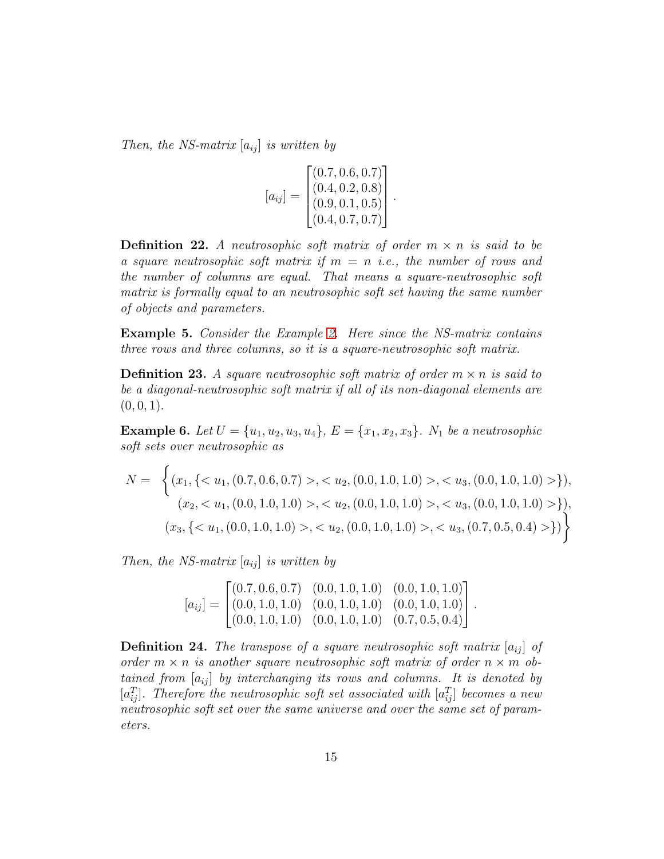*Then, the NS-matrix*  $[a_{ij}]$  *is written by* 

$$
[a_{ij}] = \begin{bmatrix} (0.7, 0.6, 0.7) \\ (0.4, 0.2, 0.8) \\ (0.9, 0.1, 0.5) \\ (0.4, 0.7, 0.7) \end{bmatrix}.
$$

**Definition 22.** A neutrosophic soft matrix of order  $m \times n$  is said to be *a square neutrosophic soft matrix if* m = n *i.e., the number of rows and the number of columns are equal. That means a square-neutrosophic soft matrix is formally equal to an neutrosophic soft set having the same number of objects and parameters.*

Example 5. *Consider the Example [2.](#page-13-0) Here since the NS-matrix contains three rows and three columns, so it is a square-neutrosophic soft matrix.*

**Definition 23.** A square neutrosophic soft matrix of order  $m \times n$  is said to *be a diagonal-neutrosophic soft matrix if all of its non-diagonal elements are*  $(0, 0, 1).$ 

**Example 6.** Let  $U = \{u_1, u_2, u_3, u_4\}$ ,  $E = \{x_1, x_2, x_3\}$ .  $N_1$  be a neutrosophic *soft sets over neutrosophic as*

$$
N = \left\{ (x_1, \{ < u_1, (0.7, 0.6, 0.7) > , < u_2, (0.0, 1.0, 1.0) > , < u_3, (0.0, 1.0, 1.0) > \}, \\ (x_2, < u_1, (0.0, 1.0, 1.0) > , < u_2, (0.0, 1.0, 1.0) > , < u_3, (0.0, 1.0, 1.0) > \}, \\ (x_3, \{ < u_1, (0.0, 1.0, 1.0) > , < u_2, (0.0, 1.0, 1.0) > , < u_3, (0.7, 0.5, 0.4) > \} ) \right\}
$$

*Then, the NS-matrix*  $[a_{ij}]$  *is written by* 

$$
[a_{ij}] = \begin{bmatrix} (0.7, 0.6, 0.7) & (0.0, 1.0, 1.0) & (0.0, 1.0, 1.0) \\ (0.0, 1.0, 1.0) & (0.0, 1.0, 1.0) & (0.0, 1.0, 1.0) \\ (0.0, 1.0, 1.0) & (0.0, 1.0, 1.0) & (0.7, 0.5, 0.4) \end{bmatrix}.
$$

**Definition 24.** The transpose of a square neutrosophic soft matrix  $[a_{ij}]$  of *order*  $m \times n$  *is another square neutrosophic soft matrix of order*  $n \times m$  *obtained from*  $[a_{ij}]$  *by interchanging its rows and columns. It is denoted by*  $[a_{ij}^T]$ *. Therefore the neutrosophic soft set associated with*  $[a_{ij}^T]$  becomes a new *neutrosophic soft set over the same universe and over the same set of parameters.*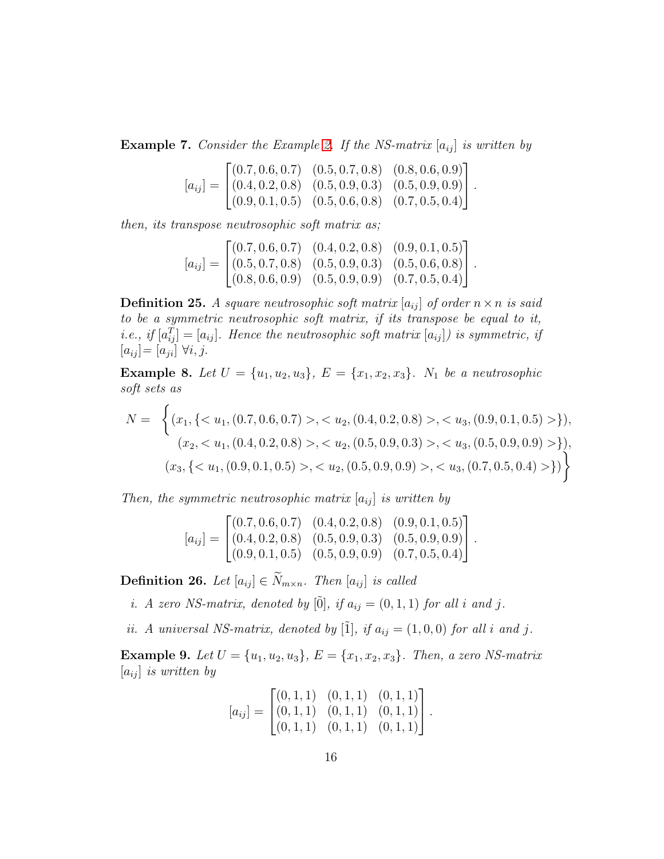**Example 7.** Consider the Example [2.](#page-13-0) If the NS-matrix  $[a_{ij}]$  is written by

$$
[a_{ij}] = \begin{bmatrix} (0.7, 0.6, 0.7) & (0.5, 0.7, 0.8) & (0.8, 0.6, 0.9) \\ (0.4, 0.2, 0.8) & (0.5, 0.9, 0.3) & (0.5, 0.9, 0.9) \\ (0.9, 0.1, 0.5) & (0.5, 0.6, 0.8) & (0.7, 0.5, 0.4) \end{bmatrix}.
$$

*then, its transpose neutrosophic soft matrix as;*

$$
[a_{ij}] = \begin{bmatrix} (0.7, 0.6, 0.7) & (0.4, 0.2, 0.8) & (0.9, 0.1, 0.5) \\ (0.5, 0.7, 0.8) & (0.5, 0.9, 0.3) & (0.5, 0.6, 0.8) \\ (0.8, 0.6, 0.9) & (0.5, 0.9, 0.9) & (0.7, 0.5, 0.4) \end{bmatrix}.
$$

**Definition 25.** A square neutrosophic soft matrix  $[a_{ij}]$  of order  $n \times n$  is said *to be a symmetric neutrosophic soft matrix, if its transpose be equal to it, i.e., if*  $[a_{ij}^T] = [a_{ij}]$ *. Hence the neutrosophic soft matrix*  $[a_{ij}]$ *) is symmetric, if*  $[a_{ij}] = [a_{ji}] \ \forall i, j.$ 

**Example 8.** Let  $U = \{u_1, u_2, u_3\}$ ,  $E = \{x_1, x_2, x_3\}$ .  $N_1$  be a neutrosophic *soft sets as*

$$
N = \left\{ (x_1, \{ < u_1, (0.7, 0.6, 0.7) > , < u_2, (0.4, 0.2, 0.8) > , < u_3, (0.9, 0.1, 0.5) > \}, \\ (x_2, < u_1, (0.4, 0.2, 0.8) > , < u_2, (0.5, 0.9, 0.3) > , < u_3, (0.5, 0.9, 0.9) > \}, \\ (x_3, \{ < u_1, (0.9, 0.1, 0.5) > , < u_2, (0.5, 0.9, 0.9) > , < u_3, (0.7, 0.5, 0.4) > \} \right\}
$$

*Then, the symmetric neutrosophic matrix*  $[a_{ij}]$  *is written by* 

$$
[a_{ij}] = \begin{bmatrix} (0.7, 0.6, 0.7) & (0.4, 0.2, 0.8) & (0.9, 0.1, 0.5) \\ (0.4, 0.2, 0.8) & (0.5, 0.9, 0.3) & (0.5, 0.9, 0.9) \\ (0.9, 0.1, 0.5) & (0.5, 0.9, 0.9) & (0.7, 0.5, 0.4) \end{bmatrix}.
$$

**Definition 26.** *Let*  $[a_{ij}] \in \widetilde{N}_{m \times n}$ *. Then*  $[a_{ij}]$  *is called* 

*i.* A zero NS-matrix, denoted by  $[\tilde{0}]$ , if  $a_{ij} = (0, 1, 1)$  for all i and j.

*ii.* A universal NS-matrix, denoted by [ $\tilde{I}$ ]*, if*  $a_{ij} = (1, 0, 0)$  *for all i and j*.

**Example 9.** Let  $U = \{u_1, u_2, u_3\}$ ,  $E = \{x_1, x_2, x_3\}$ . Then, a zero NS-matrix  $[a_{ij}]$  *is written by* 

$$
[a_{ij}] = \begin{bmatrix} (0,1,1) & (0,1,1) & (0,1,1) \\ (0,1,1) & (0,1,1) & (0,1,1) \\ (0,1,1) & (0,1,1) & (0,1,1) \end{bmatrix}.
$$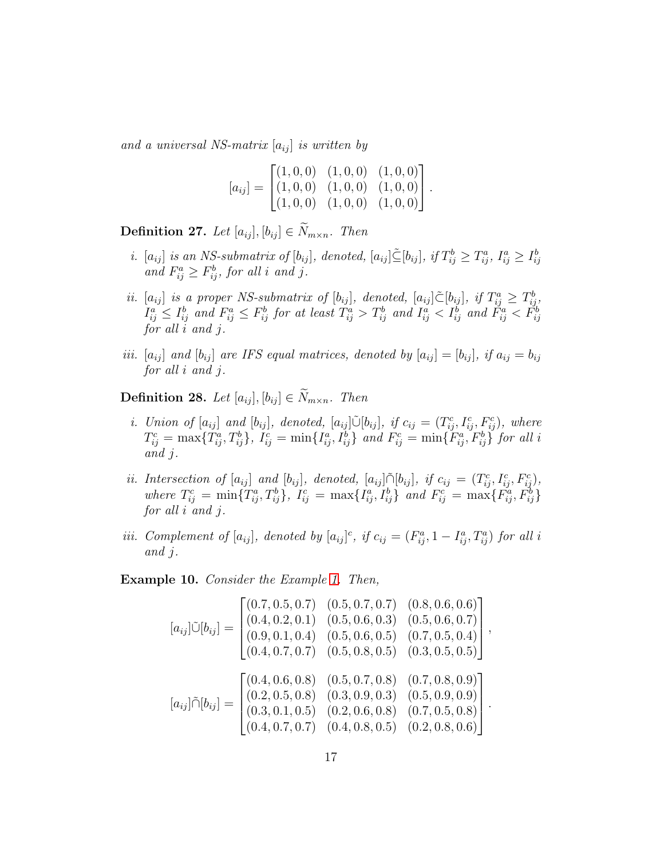*and a universal NS-matrix*  $[a_{ij}]$  *is written by* 

$$
[a_{ij}] = \begin{bmatrix} (1,0,0) & (1,0,0) & (1,0,0) \\ (1,0,0) & (1,0,0) & (1,0,0) \\ (1,0,0) & (1,0,0) & (1,0,0) \end{bmatrix}.
$$

**Definition 27.** Let  $[a_{ij}], [b_{ij}] \in \widetilde{N}_{m \times n}$ . Then

- *i.*  $[a_{ij}]$  *is an NS-submatrix of*  $[b_{ij}]$ *, denoted,*  $[a_{ij}] \leq [b_{ij}]$ *, if*  $T_{ij}^b \geq T_{ij}^a$ *,*  $I_{ij}^a \geq I_{ij}^b$ and  $F_{ij}^a \geq F_{ij}^b$ , for all *i* and *j*.
- *ii.*  $[a_{ij}]$  *is a proper NS-submatrix of*  $[b_{ij}]$ *, denoted,*  $[a_{ij}] \tilde{\subset} [b_{ij}]$ *, if*  $T_{ij}^a \geq T_{ij}^b$ *,*  $I_{ij}^a \leq I_{ij}^b$  and  $F_{ij}^a \leq F_{ij}^b$  for at least  $T_{ij}^a > T_{ij}^b$  and  $I_{ij}^a < I_{ij}^b$  and  $\tilde{F}_{ij}^a < \tilde{F}_{ij}^b$ *for all* i *and* j*.*
- *iii.*  $[a_{ij}]$  *and*  $[b_{ij}]$  *are IFS equal matrices, denoted by*  $[a_{ij}] = [b_{ij}]$ *, if*  $a_{ij} = b_{ij}$ *for all* i *and* j*.*

**Definition 28.** *Let*  $[a_{ij}], [b_{ij}] \in \widetilde{N}_{m \times n}$ *. Then* 

- *i.* Union of  $[a_{ij}]$  and  $[b_{ij}]$ , denoted,  $[a_{ij}]\tilde{\cup}[b_{ij}]$ , if  $c_{ij} = (T_{ij}^c, I_{ij}^c, F_{ij}^c)$ , where  $T_{ij}^c = \max\{T_{ij}^a, T_{ij}^b\},\ I_{ij}^c = \min\{I_{ij}^a, I_{ij}^b\}$  and  $F_{ij}^c = \min\{\tilde{F}_{ij}^a, \tilde{F}_{ij}^b\}$  for all i *and* j*.*
- *ii. Intersection of*  $[a_{ij}]$  *and*  $[b_{ij}]$ *, denoted,*  $[a_{ij}] \cap [b_{ij}]$ *, if*  $c_{ij} = (T_{ij}^c, I_{ij}^c, F_{ij}^c)$ *,* where  $T_{ij}^c = \min\{T_{ij}^a, T_{ij}^b\},\ I_{ij}^c = \max\{I_{ij}^a, I_{ij}^b\}\$  and  $F_{ij}^c = \max\{F_{ij}^a, F_{ij}^b\}$ *for all* i *and* j*.*
- *iii.* Complement of  $[a_{ij}]$ , denoted by  $[a_{ij}]^c$ , if  $c_{ij} = (F_{ij}^a, 1 I_{ij}^a, T_{ij}^a)$  for all i *and* j*.*

Example 10. *Consider the Example [1.](#page-8-0) Then,*

$$
[a_{ij}]\tilde{\cup}[b_{ij}] = \begin{bmatrix} (0.7, 0.5, 0.7) & (0.5, 0.7, 0.7) & (0.8, 0.6, 0.6) \\ (0.4, 0.2, 0.1) & (0.5, 0.6, 0.3) & (0.5, 0.6, 0.7) \\ (0.9, 0.1, 0.4) & (0.5, 0.6, 0.5) & (0.7, 0.5, 0.4) \\ (0.4, 0.7, 0.7) & (0.5, 0.8, 0.5) & (0.3, 0.5, 0.5) \end{bmatrix},
$$

$$
[a_{ij}]\tilde{\cap}[b_{ij}] = \begin{bmatrix} (0.4, 0.6, 0.8) & (0.5, 0.7, 0.8) & (0.7, 0.8, 0.9) \\ (0.2, 0.5, 0.8) & (0.3, 0.9, 0.3) & (0.5, 0.9, 0.9) \\ (0.3, 0.1, 0.5) & (0.2, 0.6, 0.8) & (0.7, 0.5, 0.8) \\ (0.4, 0.7, 0.7) & (0.4, 0.8, 0.5) & (0.2, 0.8, 0.6) \end{bmatrix}.
$$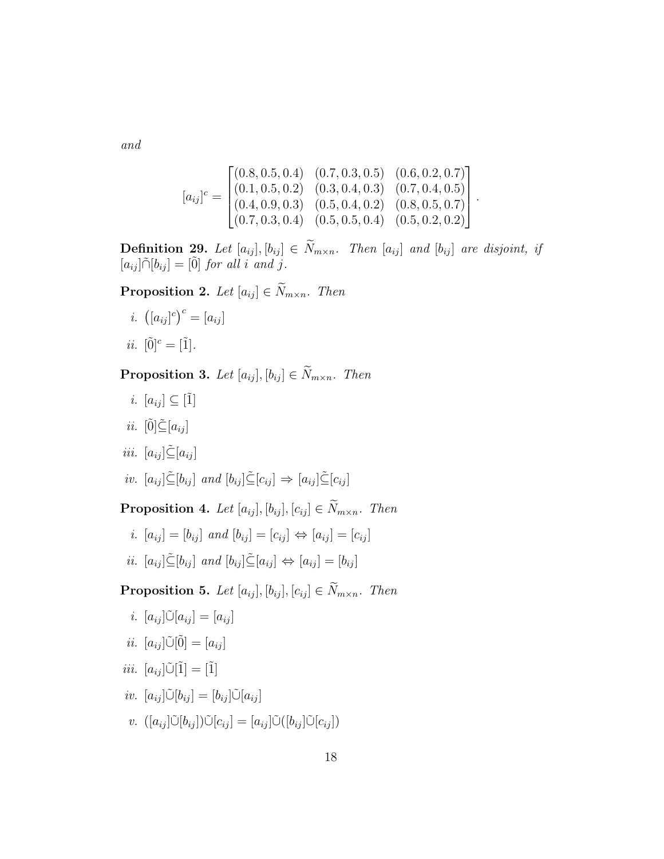*and*

$$
[a_{ij}]^c = \begin{bmatrix} (0.8, 0.5, 0.4) & (0.7, 0.3, 0.5) & (0.6, 0.2, 0.7) \\ (0.1, 0.5, 0.2) & (0.3, 0.4, 0.3) & (0.7, 0.4, 0.5) \\ (0.4, 0.9, 0.3) & (0.5, 0.4, 0.2) & (0.8, 0.5, 0.7) \\ (0.7, 0.3, 0.4) & (0.5, 0.5, 0.4) & (0.5, 0.2, 0.2) \end{bmatrix}.
$$

**Definition 29.** Let  $[a_{ij}]$ ,  $[b_{ij}] \in \widetilde{N}_{m \times n}$ . Then  $[a_{ij}]$  and  $[b_{ij}]$  are disjoint, if  $[a_{ij} ] \tilde{\cap} [b_{ij} ] = [\tilde{0}]$  *for all i and j.* 

**Proposition 2.** *Let*  $[a_{ij}] \in \widetilde{N}_{m \times n}$ *. Then* 

- *i.*  $([a_{ij}]^c)^c = [a_{ij}]$
- *ii.*  $[0]^{c} = [1]$ *.*

**Proposition 3.** Let  $[a_{ij}], [b_{ij}] \in \widetilde{N}_{m \times n}$ . Then

- *i.*  $[a_{ij}] \subseteq [\tilde{1}]$
- *ii.*  $[\tilde{0}] \leq [a_{ij}]$
- *iii.*  $[a_{ij}] \tilde{\subseteq} [a_{ij}]$
- *iv.*  $[a_{ij}] \tilde{\subseteq} [b_{ij}]$  *and*  $[b_{ij}] \tilde{\subseteq} [c_{ij}] \Rightarrow [a_{ij}] \tilde{\subseteq} [c_{ij}]$

**Proposition 4.** *Let*  $[a_{ij}], [b_{ij}], [c_{ij}] \in \widetilde{N}_{m \times n}$ *. Then* 

*i.*  $[a_{ij}] = [b_{ij}]$  *and*  $[b_{ij}] = [c_{ij}] \Leftrightarrow [a_{ij}] = [c_{ij}]$ *ii.*  $[a_{ij}] \subseteq [b_{ij}]$  *and*  $[b_{ij}] \subseteq [a_{ij}] \Leftrightarrow [a_{ij}] = [b_{ij}]$ 

**Proposition 5.** *Let*  $[a_{ij}]$ ,  $[b_{ij}]$ ,  $[c_{ij}] \in \widetilde{N}_{m \times n}$ *. Then* 

*i.*  $[a_{ij}] \tilde{\cup} [a_{ij}] = [a_{ij}]$ 

$$
ii. \ [a_{ij}]\tilde{\cup}[\tilde{0}] = [a_{ij}]
$$

$$
iii. \ [a_{ij}]\tilde{\cup}[\tilde{1}] = [\tilde{1}]
$$

$$
iv. \ [a_{ij}]\tilde{\cup}[b_{ij}] = [b_{ij}]\tilde{\cup}[a_{ij}]
$$

*v.*  $([a_{ij}|\tilde{\cup}[b_{ij}])\tilde{\cup}[c_{ij}] = [a_{ij}|\tilde{\cup}([b_{ij}|\tilde{\cup}[c_{ij}]))$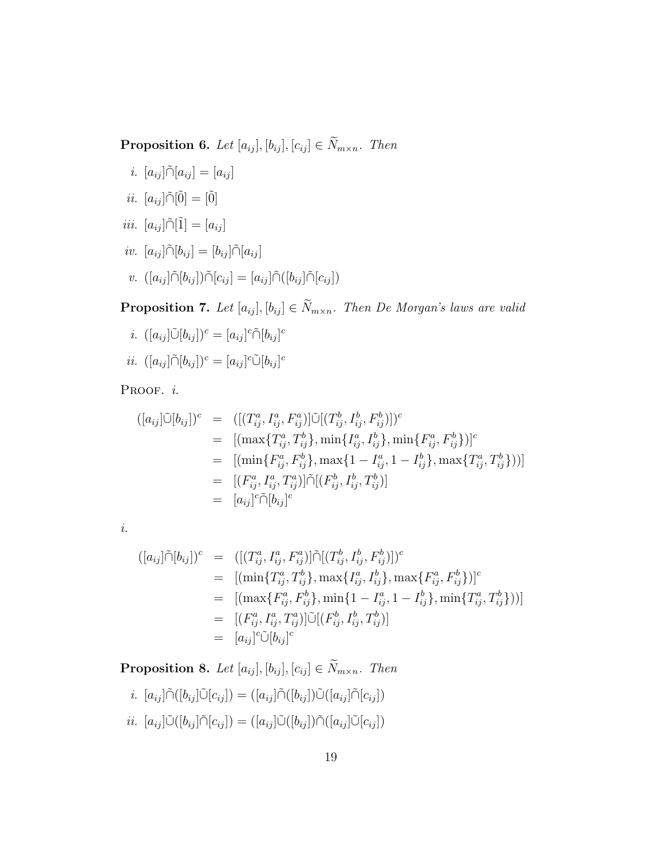**Proposition 6.** *Let*  $[a_{ij}], [b_{ij}], [c_{ij}] \in \widetilde{N}_{m \times n}$ *. Then* 

*i.*  $[a_{ij}] \tilde{\cap} [a_{ij}] = [a_{ij}]$ 

$$
ii. \ [a_{ij}]\tilde{\cap}[\tilde{0}] = [\tilde{0}]
$$

$$
iii. \ [a_{ij}]\tilde{\cap}[\tilde{1}] = [a_{ij}]
$$

$$
iv. \ [a_{ij}]\tilde{\cap}[b_{ij}] = [b_{ij}]\tilde{\cap}[a_{ij}]
$$

 $v.$   $([a_{ij}]\tilde{\cap}[b_{ij}])\tilde{\cap}[c_{ij}] = [a_{ij}]\tilde{\cap}([b_{ij}]\tilde{\cap}[c_{ij}])$ 

**Proposition 7.** *Let*  $[a_{ij}]$ ,  $[b_{ij}] \in \widetilde{N}_{m \times n}$ *. Then De Morgan's laws are valid* 

$$
i. \ ([a_{ij}]\tilde{\cup}[b_{ij}])^c = [a_{ij}]^c \tilde{\cap}[b_{ij}]^c
$$

$$
ii. \ ([a_{ij}]\tilde{\cap}[b_{ij}])^c = [a_{ij}]^c \tilde{\cup}[b_{ij}]^c
$$

Proof. *i.* 

$$
([a_{ij}]\tilde{\cup}[b_{ij}])^c = ([(T^a_{ij}, I^a_{ij}, F^a_{ij})]\tilde{\cup}[(T^b_{ij}, I^b_{ij}, F^b_{ij})])^c
$$
  
\n
$$
= [(\max\{T^a_{ij}, T^b_{ij}\}, \min\{I^a_{ij}, I^b_{ij}\}, \min\{F^a_{ij}, F^b_{ij}\})]^c
$$
  
\n
$$
= [(\min\{F^a_{ij}, F^b_{ij}\}, \max\{1 - I^a_{ij}, 1 - I^b_{ij}\}, \max\{T^a_{ij}, T^b_{ij}\}))]
$$
  
\n
$$
= [(F^a_{ij}, I^a_{ij}, T^a_{ij})]\tilde{\cap}[(F^b_{ij}, I^b_{ij}, T^b_{ij})]
$$
  
\n
$$
= [a_{ij}]^c \tilde{\cap}[b_{ij}]^c
$$

*i.*

$$
([a_{ij}]\tilde{\cap}[b_{ij}])^c = ([(T^a_{ij}, I^a_{ij}, F^a_{ij})]\tilde{\cap}[(T^b_{ij}, I^b_{ij}, F^b_{ij})])^c
$$
  
\n
$$
= [(\min\{T^a_{ij}, T^b_{ij}\}, \max\{I^a_{ij}, I^b_{ij}\}, \max\{F^a_{ij}, F^b_{ij}\})]^c
$$
  
\n
$$
= [(\max\{F^a_{ij}, F^b_{ij}\}, \min\{1 - I^a_{ij}, 1 - I^b_{ij}\}, \min\{T^a_{ij}, T^b_{ij}\})^c]
$$
  
\n
$$
= [(F^a_{ij}, I^a_{ij}, T^a_{ij})]\tilde{\cup}[(F^b_{ij}, I^b_{ij}, T^b_{ij})]
$$
  
\n
$$
= [a_{ij}]^c \tilde{\cup} [b_{ij}]^c
$$

**Proposition 8.** *Let*  $[a_{ij}], [b_{ij}], [c_{ij}] \in \widetilde{N}_{m \times n}$ *. Then* 

$$
i. [a_{ij}]\tilde{\cap}([b_{ij}]\tilde{\cup}[c_{ij}]) = ([a_{ij}]\tilde{\cap}([b_{ij}])\tilde{\cup}([a_{ij}]\tilde{\cap}[c_{ij}])
$$
  

$$
ii. [a_{ij}]\tilde{\cup}([b_{ij}]\tilde{\cap}[c_{ij}]) = ([a_{ij}]\tilde{\cup}([b_{ij}])\tilde{\cap}([a_{ij}]\tilde{\cup}[c_{ij}])
$$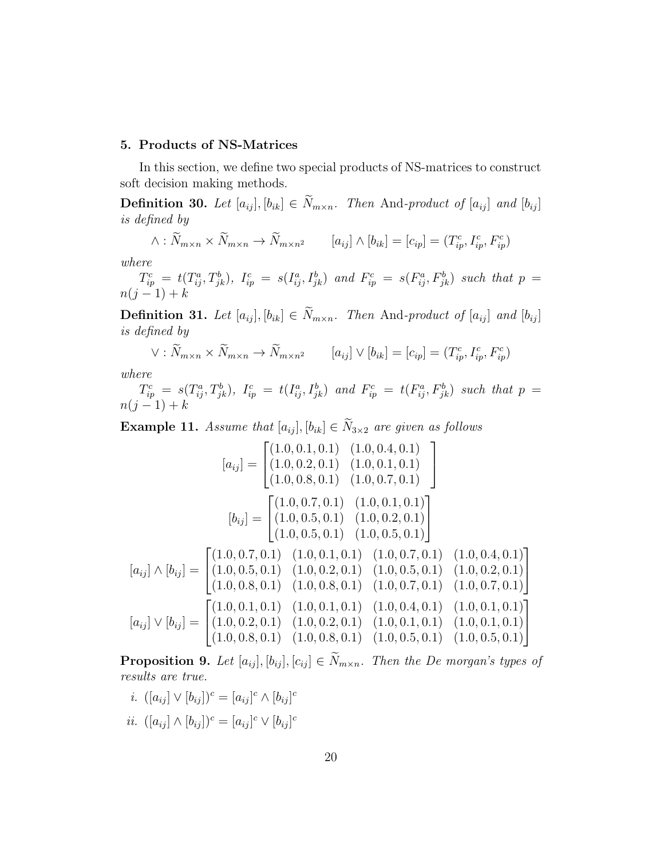# 5. Products of NS-Matrices

In this section, we define two special products of NS-matrices to construct soft decision making methods.

Definition 30. Let  $[a_{ij}], [b_{ik}] \in \widetilde{N}_{m \times n}$ . Then And-product of  $[a_{ij}]$  and  $[b_{ij}]$ *is defined by*

$$
\wedge : \widetilde{N}_{m \times n} \times \widetilde{N}_{m \times n} \to \widetilde{N}_{m \times n^2} \qquad [a_{ij}] \wedge [b_{ik}] = [c_{ip}] = (T_{ip}^c, I_{ip}^c, F_{ip}^c)
$$

*where*

 $T_{ip}^c = t(T_{ij}^a, T_{jk}^b), I_{ip}^c = s(I_{ij}^a, I_{jk}^b)$  and  $F_{ip}^c = s(F_{ij}^a, F_{jk}^b)$  such that  $p = t(T_{ij}^a, T_{jk}^b)$  $n(j - 1) + k$ 

**Definition 31.** Let  $[a_{ij}], [b_{ik}] \in \widetilde{N}_{m \times n}$ . Then And-product of  $[a_{ij}]$  and  $[b_{ij}]$ *is defined by*

$$
\vee : \widetilde{N}_{m \times n} \times \widetilde{N}_{m \times n} \to \widetilde{N}_{m \times n^2} \qquad [a_{ij}] \vee [b_{ik}] = [c_{ip}] = (T_{ip}^c, I_{ip}^c, F_{ip}^c)
$$

*where*

 $T_{ip}^c = s(T_{ij}^a, T_{jk}^b), I_{ip}^c = t(I_{ij}^a, I_{jk}^b)$  and  $F_{ip}^c = t(F_{ij}^a, F_{jk}^b)$  such that  $p = t$  $n(j-1) + k$ 

**Example 11.** *Assume that*  $[a_{ij}]$ ,  $[b_{ik}] \in \widetilde{N}_{3\times 2}$  *are given as follows* 

$$
[a_{ij}] = \begin{bmatrix} (1.0, 0.1, 0.1) & (1.0, 0.4, 0.1) \\ (1.0, 0.2, 0.1) & (1.0, 0.1, 0.1) \\ (1.0, 0.8, 0.1) & (1.0, 0.7, 0.1) \end{bmatrix}
$$

$$
[b_{ij}] = \begin{bmatrix} (1.0, 0.7, 0.1) & (1.0, 0.1, 0.1) \\ (1.0, 0.5, 0.1) & (1.0, 0.2, 0.1) \\ (1.0, 0.5, 0.1) & (1.0, 0.5, 0.1) \end{bmatrix}
$$

$$
[a_{ij}] \wedge [b_{ij}] = \begin{bmatrix} (1.0, 0.7, 0.1) & (1.0, 0.1, 0.1) & (1.0, 0.7, 0.1) \\ (1.0, 0.5, 0.1) & (1.0, 0.2, 0.1) & (1.0, 0.5, 0.1) & (1.0, 0.2, 0.1) \\ (1.0, 0.8, 0.1) & (1.0, 0.8, 0.1) & (1.0, 0.7, 0.1) & (1.0, 0.7, 0.1) \end{bmatrix}
$$

$$
[a_{ij}] \vee [b_{ij}] = \begin{bmatrix} (1.0, 0.1, 0.1) & (1.0, 0.1, 0.1) & (1.0, 0.4, 0.1) & (1.0, 0.1, 0.1) \\ (1.0, 0.2, 0.1) & (1.0, 0.2, 0.1) & (1.0, 0.4, 0.1) & (1.0, 0.1, 0.1) \\ (1.0, 0.8, 0.1) & (1.0, 0.8, 0.1) & (1.0, 0.5, 0.1) & (1.0, 0.5, 0.1) \end{bmatrix}
$$

**Proposition 9.** Let  $[a_{ij}], [b_{ij}], [c_{ij}] \in \widetilde{N}_{m \times n}$ . Then the De morgan's types of *results are true.*

- *i.*  $([a_{ij}] \vee [b_{ij}])^c = [a_{ij}]^c \wedge [b_{ij}]^c$
- *ii.*  $([a_{ij}] \wedge [b_{ij}])^c = [a_{ij}]^c \vee [b_{ij}]^c$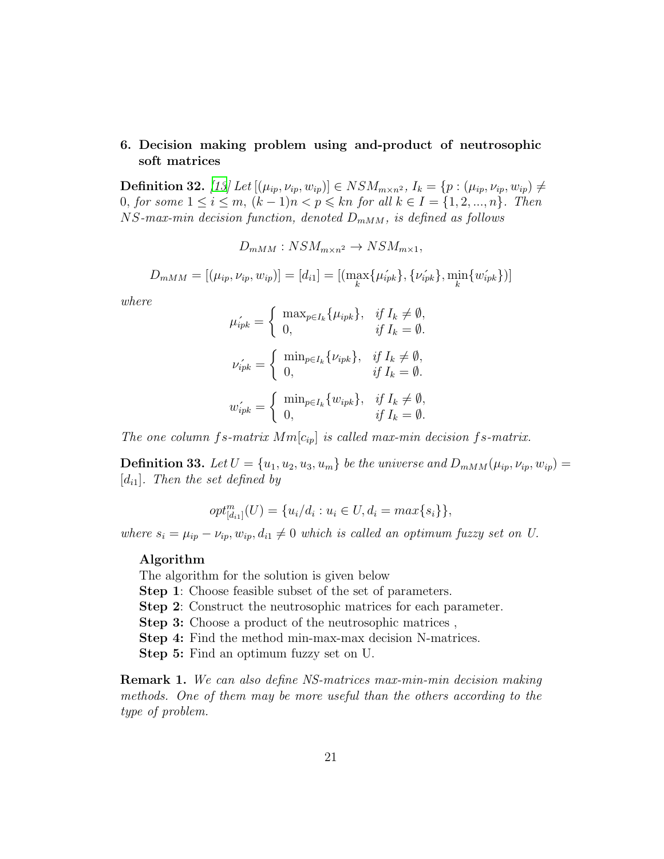# 6. Decision making problem using and-product of neutrosophic soft matrices

**Definition 32.** *[\[13\]](#page-23-4) Let*  $[(\mu_{ip}, \nu_{ip}, w_{ip})]$  ∈  $NSM_{m \times n^2}$ *,*  $I_k = {p : (\mu_{ip}, \nu_{ip}, w_{ip})}$  ≠ 0, *for some*  $1 \le i \le m$ ,  $(k-1)n < p \le kn$  *for all*  $k \in I = \{1, 2, ..., n\}$ *. Then*  $NS$ -max-min decision function, denoted  $D_{mMM}$ , is defined as follows

 $D_{mMM}: NSM_{m\times n^2} \rightarrow NSM_{m\times 1}$ 

 $D_{mMM} = [(\mu_{ip}, \nu_{ip}, w_{ip})] = [d_{i1}] = [(\max_{k} {\{\mu_{ipk}^{'}\}}, {\{\nu_{ipk}^{'}\}}, \min_{k} {\{w_{ipk}^{'}\}})]$ 

*where*

$$
\mu'_{ipk} = \begin{cases}\n\max_{p \in I_k} {\mu_{ipk}}, & \text{if } I_k \neq \emptyset, \\
0, & \text{if } I_k = \emptyset.\n\end{cases}
$$
\n
$$
\nu'_{ipk} = \begin{cases}\n\min_{p \in I_k} {\nu_{ipk}}, & \text{if } I_k \neq \emptyset, \\
0, & \text{if } I_k = \emptyset.\n\end{cases}
$$
\n
$$
w'_{ipk} = \begin{cases}\n\min_{p \in I_k} {\{w_{ipk}\}}, & \text{if } I_k \neq \emptyset, \\
0, & \text{if } I_k = \emptyset.\n\end{cases}
$$

*The one column fs-matrix*  $Mm[c_{ip}]$  *is called max-min decision fs-matrix.* 

**Definition 33.** Let  $U = \{u_1, u_2, u_3, u_m\}$  be the universe and  $D_{mMM}(\mu_{ip}, \nu_{ip}, w_{ip}) =$  $[d_{i1}]$ *. Then the set defined by* 

$$
opt_{[d_{i1}]}^{m}(U) = \{u_i/d_i : u_i \in U, d_i = max\{s_i\}\},\
$$

*where*  $s_i = \mu_{ip} - \nu_{ip}$ ,  $w_{ip}$ ,  $d_{i1} \neq 0$  *which is called an optimum fuzzy set on U.* 

#### Algorithm

The algorithm for the solution is given below

Step 1: Choose feasible subset of the set of parameters.

Step 2: Construct the neutrosophic matrices for each parameter.

Step 3: Choose a product of the neutrosophic matrices ,

Step 4: Find the method min-max-max decision N-matrices.

Step 5: Find an optimum fuzzy set on U.

Remark 1. *We can also define NS-matrices max-min-min decision making methods. One of them may be more useful than the others according to the type of problem.*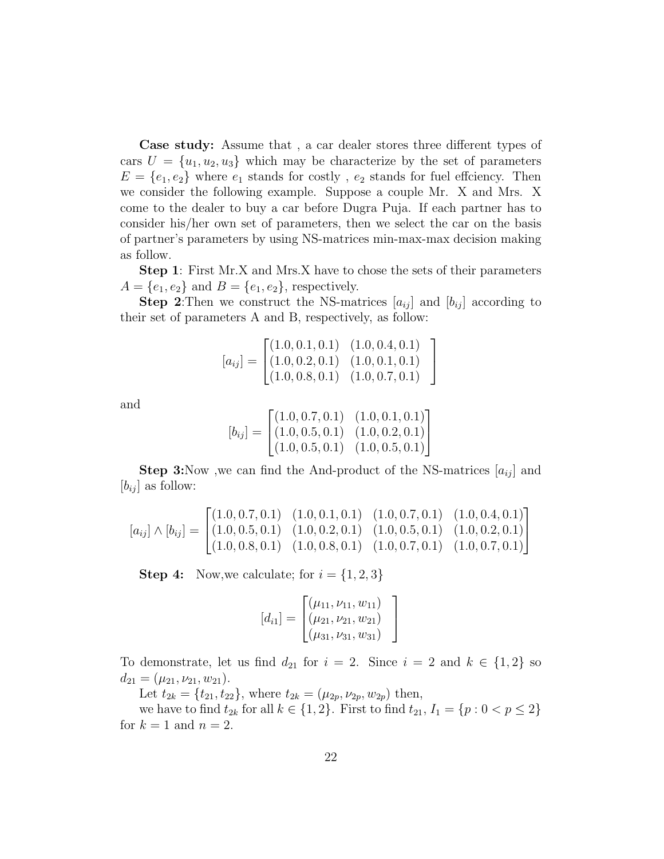Case study: Assume that , a car dealer stores three different types of cars  $U = \{u_1, u_2, u_3\}$  which may be characterize by the set of parameters  $E = \{e_1, e_2\}$  where  $e_1$  stands for costly,  $e_2$  stands for fuel effciency. Then we consider the following example. Suppose a couple Mr. X and Mrs. X come to the dealer to buy a car before Dugra Puja. If each partner has to consider his/her own set of parameters, then we select the car on the basis of partner's parameters by using NS-matrices min-max-max decision making as follow.

Step 1: First Mr.X and Mrs.X have to chose the sets of their parameters  $A = \{e_1, e_2\}$  and  $B = \{e_1, e_2\}$ , respectively.

**Step 2:** Then we construct the NS-matrices  $[a_{ij}]$  and  $[b_{ij}]$  according to their set of parameters A and B, respectively, as follow:

$$
[a_{ij}] = \begin{bmatrix} (1.0, 0.1, 0.1) & (1.0, 0.4, 0.1) \\ (1.0, 0.2, 0.1) & (1.0, 0.1, 0.1) \\ (1.0, 0.8, 0.1) & (1.0, 0.7, 0.1) \end{bmatrix}
$$

and

$$
[b_{ij}] = \begin{bmatrix} (1.0, 0.7, 0.1) & (1.0, 0.1, 0.1) \\ (1.0, 0.5, 0.1) & (1.0, 0.2, 0.1) \\ (1.0, 0.5, 0.1) & (1.0, 0.5, 0.1) \end{bmatrix}
$$

**Step 3:**Now ,we can find the And-product of the NS-matrices  $[a_{ij}]$  and  $[b_{ij}]$  as follow:

$$
[a_{ij}] \wedge [b_{ij}] = \begin{bmatrix} (1.0, 0.7, 0.1) & (1.0, 0.1, 0.1) & (1.0, 0.7, 0.1) & (1.0, 0.4, 0.1) \\ (1.0, 0.5, 0.1) & (1.0, 0.2, 0.1) & (1.0, 0.5, 0.1) & (1.0, 0.2, 0.1) \\ (1.0, 0.8, 0.1) & (1.0, 0.8, 0.1) & (1.0, 0.7, 0.1) & (1.0, 0.7, 0.1) \end{bmatrix}
$$

**Step 4:** Now, we calculate; for  $i = \{1, 2, 3\}$ 

$$
[d_{i1}] = \begin{bmatrix} (\mu_{11}, \nu_{11}, w_{11}) \\ (\mu_{21}, \nu_{21}, w_{21}) \\ (\mu_{31}, \nu_{31}, w_{31}) \end{bmatrix}
$$

To demonstrate, let us find  $d_{21}$  for  $i = 2$ . Since  $i = 2$  and  $k \in \{1,2\}$  so  $d_{21} = (\mu_{21}, \nu_{21}, w_{21}).$ 

Let  $t_{2k} = \{t_{21}, t_{22}\}$ , where  $t_{2k} = (\mu_{2p}, \nu_{2p}, w_{2p})$  then,

we have to find  $t_{2k}$  for all  $k \in \{1, 2\}$ . First to find  $t_{21}$ ,  $I_1 = \{p : 0 < p \leq 2\}$ for  $k = 1$  and  $n = 2$ .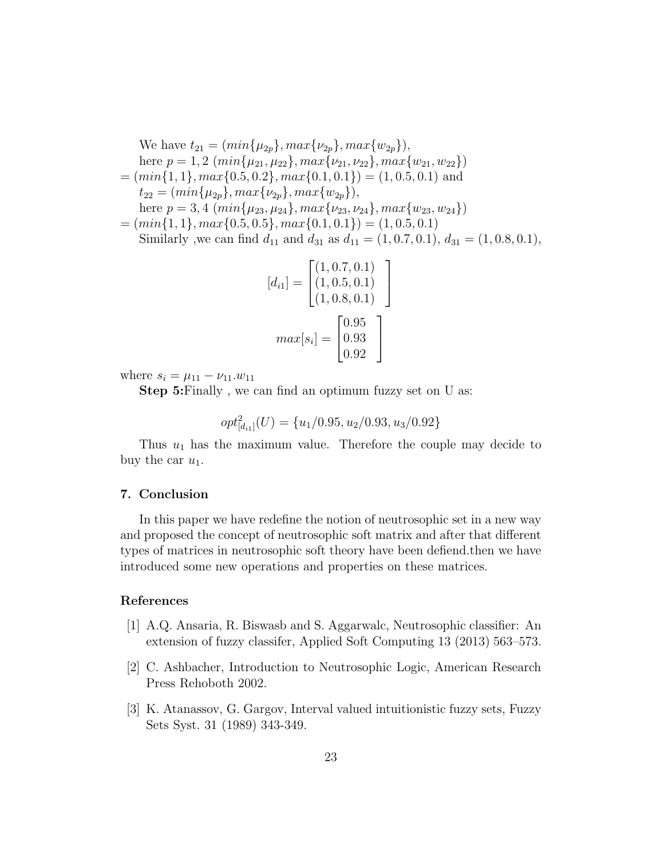We have  $t_{21} = (min\{\mu_{2p}\}, max\{\nu_{2p}\}, max\{\nu_{2p}\}),$ here  $p = 1, 2 \ (min\{\mu_{21}, \mu_{22}\}, max\{\nu_{21}, \nu_{22}\}, max\{\nu_{21}, \nu_{22}\})$  $=(min{1, 1}, max{0.5, 0.2}, max{0.1, 0.1}) = (1, 0.5, 0.1)$  and  $t_{22} = (min\{\mu_{2p}\}, max\{\nu_{2p}\}, max\{w_{2p}\}),$ here  $p = 3, 4 \ (min\{\mu_{23}, \mu_{24}\}, max\{\nu_{23}, \nu_{24}\}, max\{\nu_{23}, \nu_{24}\})$  $=(min\{1, 1\}, max\{0.5, 0.5\}, max\{0.1, 0.1\}) = (1, 0.5, 0.1)$ Similarly ,we can find  $d_{11}$  and  $d_{31}$  as  $d_{11} = (1, 0.7, 0.1), d_{31} = (1, 0.8, 0.1),$ 

$$
[d_{i1}] = \begin{bmatrix} (1, 0.7, 0.1) \\ (1, 0.5, 0.1) \\ (1, 0.8, 0.1) \end{bmatrix}
$$

$$
max[s_i] = \begin{bmatrix} 0.95 \\ 0.93 \\ 0.92 \end{bmatrix}
$$

where  $s_i = \mu_{11} - \nu_{11} w_{11}$ 

Step 5:Finally , we can find an optimum fuzzy set on U as:

$$
opt_{[d_{i1}]}^2(U) = \{u_1/0.95, u_2/0.93, u_3/0.92\}
$$

Thus  $u_1$  has the maximum value. Therefore the couple may decide to buy the car  $u_1$ .

# 7. Conclusion

In this paper we have redefine the notion of neutrosophic set in a new way and proposed the concept of neutrosophic soft matrix and after that different types of matrices in neutrosophic soft theory have been defiend.then we have introduced some new operations and properties on these matrices.

## References

- <span id="page-22-1"></span>[1] A.Q. Ansaria, R. Biswasb and S. Aggarwalc, Neutrosophic classifier: An extension of fuzzy classifer, Applied Soft Computing 13 (2013) 563–573.
- <span id="page-22-2"></span>[2] C. Ashbacher, Introduction to Neutrosophic Logic, American Research Press Rehoboth 2002.
- <span id="page-22-0"></span>[3] K. Atanassov, G. Gargov, Interval valued intuitionistic fuzzy sets, Fuzzy Sets Syst. 31 (1989) 343-349.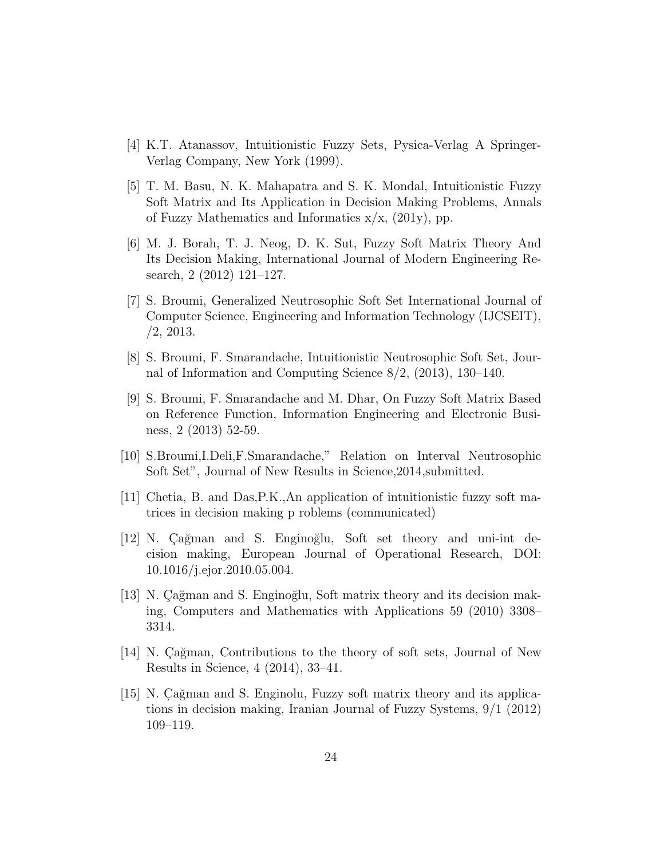- <span id="page-23-0"></span>[4] K.T. Atanassov, Intuitionistic Fuzzy Sets, Pysica-Verlag A Springer-Verlag Company, New York (1999).
- <span id="page-23-8"></span>[5] T. M. Basu, N. K. Mahapatra and S. K. Mondal, Intuitionistic Fuzzy Soft Matrix and Its Application in Decision Making Problems, Annals of Fuzzy Mathematics and Informatics  $x/x$ , (201y), pp.
- <span id="page-23-9"></span>[6] M. J. Borah, T. J. Neog, D. K. Sut, Fuzzy Soft Matrix Theory And Its Decision Making, International Journal of Modern Engineering Research, 2 (2012) 121–127.
- <span id="page-23-1"></span>[7] S. Broumi, Generalized Neutrosophic Soft Set International Journal of Computer Science, Engineering and Information Technology (IJCSEIT), /2, 2013.
- <span id="page-23-2"></span>[8] S. Broumi, F. Smarandache, Intuitionistic Neutrosophic Soft Set, Journal of Information and Computing Science 8/2, (2013), 130–140.
- <span id="page-23-7"></span>[9] S. Broumi, F. Smarandache and M. Dhar, On Fuzzy Soft Matrix Based on Reference Function, Information Engineering and Electronic Business, 2 (2013) 52-59.
- [10] S.Broumi,I.Deli,F.Smarandache," Relation on Interval Neutrosophic Soft Set", Journal of New Results in Science,2014,submitted.
- <span id="page-23-6"></span>[11] Chetia, B. and Das,P.K.,An application of intuitionistic fuzzy soft matrices in decision making p roblems (communicated)
- <span id="page-23-3"></span>[12] N. Cağman and S. Enginoğlu, Soft set theory and uni-int decision making, European Journal of Operational Research, DOI: 10.1016/j.ejor.2010.05.004.
- <span id="page-23-4"></span>[13] N. Cağman and S. Enginoğlu, Soft matrix theory and its decision making, Computers and Mathematics with Applications 59 (2010) 3308– 3314.
- <span id="page-23-10"></span>[14] N. Cağman, Contributions to the theory of soft sets, Journal of New Results in Science, 4 (2014), 33–41.
- <span id="page-23-5"></span>[15] N. Cağman and S. Enginolu, Fuzzy soft matrix theory and its applications in decision making, Iranian Journal of Fuzzy Systems, 9/1 (2012) 109–119.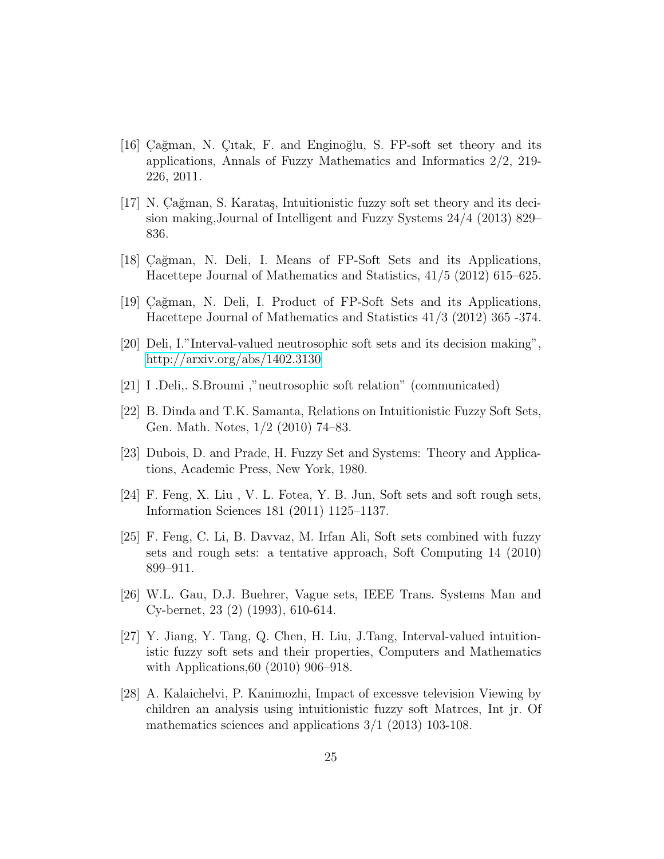- [16] Cağman, N. Çıtak, F. and Enginoğlu, S. FP-soft set theory and its applications, Annals of Fuzzy Mathematics and Informatics 2/2, 219- 226, 2011.
- <span id="page-24-1"></span> $[17]$  N. Cağman, S. Karataş, Intuitionistic fuzzy soft set theory and its decision making,Journal of Intelligent and Fuzzy Systems 24/4 (2013) 829– 836.
- <span id="page-24-6"></span>[18] Cağman, N. Deli, I. Means of FP-Soft Sets and its Applications, Hacettepe Journal of Mathematics and Statistics, 41/5 (2012) 615–625.
- <span id="page-24-7"></span>[19] Cağman, N. Deli, I. Product of FP-Soft Sets and its Applications, Hacettepe Journal of Mathematics and Statistics 41/3 (2012) 365 -374.
- <span id="page-24-5"></span>[20] Deli, I."Interval-valued neutrosophic soft sets and its decision making", <http://arxiv.org/abs/1402.3130>
- <span id="page-24-9"></span>[21] I .Deli,. S.Broumi ,"neutrosophic soft relation" (communicated)
- <span id="page-24-8"></span>[22] B. Dinda and T.K. Samanta, Relations on Intuitionistic Fuzzy Soft Sets, Gen. Math. Notes, 1/2 (2010) 74–83.
- <span id="page-24-11"></span>[23] Dubois, D. and Prade, H. Fuzzy Set and Systems: Theory and Applications, Academic Press, New York, 1980.
- <span id="page-24-2"></span>[24] F. Feng, X. Liu , V. L. Fotea, Y. B. Jun, Soft sets and soft rough sets, Information Sciences 181 (2011) 1125–1137.
- <span id="page-24-3"></span>[25] F. Feng, C. Li, B. Davvaz, M. Irfan Ali, Soft sets combined with fuzzy sets and rough sets: a tentative approach, Soft Computing 14 (2010) 899–911.
- <span id="page-24-0"></span>[26] W.L. Gau, D.J. Buehrer, Vague sets, IEEE Trans. Systems Man and Cy-bernet, 23 (2) (1993), 610-614.
- <span id="page-24-4"></span>[27] Y. Jiang, Y. Tang, Q. Chen, H. Liu, J.Tang, Interval-valued intuitionistic fuzzy soft sets and their properties, Computers and Mathematics with Applications,60 (2010) 906–918.
- <span id="page-24-10"></span>[28] A. Kalaichelvi, P. Kanimozhi, Impact of excessve television Viewing by children an analysis using intuitionistic fuzzy soft Matrces, Int jr. Of mathematics sciences and applications 3/1 (2013) 103-108.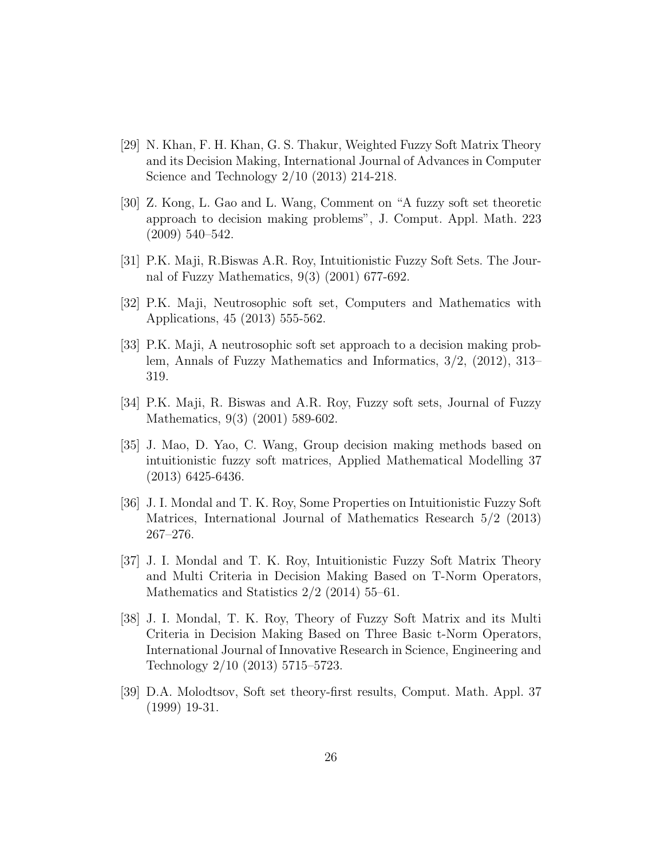- <span id="page-25-6"></span>[29] N. Khan, F. H. Khan, G. S. Thakur, Weighted Fuzzy Soft Matrix Theory and its Decision Making, International Journal of Advances in Computer Science and Technology 2/10 (2013) 214-218.
- <span id="page-25-5"></span>[30] Z. Kong, L. Gao and L. Wang, Comment on "A fuzzy soft set theoretic approach to decision making problems", J. Comput. Appl. Math. 223 (2009) 540–542.
- <span id="page-25-3"></span>[31] P.K. Maji, R.Biswas A.R. Roy, Intuitionistic Fuzzy Soft Sets. The Journal of Fuzzy Mathematics, 9(3) (2001) 677-692.
- <span id="page-25-0"></span>[32] P.K. Maji, Neutrosophic soft set, Computers and Mathematics with Applications, 45 (2013) 555-562.
- <span id="page-25-4"></span>[33] P.K. Maji, A neutrosophic soft set approach to a decision making problem, Annals of Fuzzy Mathematics and Informatics, 3/2, (2012), 313– 319.
- <span id="page-25-2"></span>[34] P.K. Maji, R. Biswas and A.R. Roy, Fuzzy soft sets, Journal of Fuzzy Mathematics, 9(3) (2001) 589-602.
- <span id="page-25-7"></span>[35] J. Mao, D. Yao, C. Wang, Group decision making methods based on intuitionistic fuzzy soft matrices, Applied Mathematical Modelling 37 (2013) 6425-6436.
- <span id="page-25-8"></span>[36] J. I. Mondal and T. K. Roy, Some Properties on Intuitionistic Fuzzy Soft Matrices, International Journal of Mathematics Research 5/2 (2013) 267–276.
- <span id="page-25-9"></span>[37] J. I. Mondal and T. K. Roy, Intuitionistic Fuzzy Soft Matrix Theory and Multi Criteria in Decision Making Based on T-Norm Operators, Mathematics and Statistics  $2/2$  (2014) 55–61.
- <span id="page-25-10"></span>[38] J. I. Mondal, T. K. Roy, Theory of Fuzzy Soft Matrix and its Multi Criteria in Decision Making Based on Three Basic t-Norm Operators, International Journal of Innovative Research in Science, Engineering and Technology 2/10 (2013) 5715–5723.
- <span id="page-25-1"></span>[39] D.A. Molodtsov, Soft set theory-first results, Comput. Math. Appl. 37 (1999) 19-31.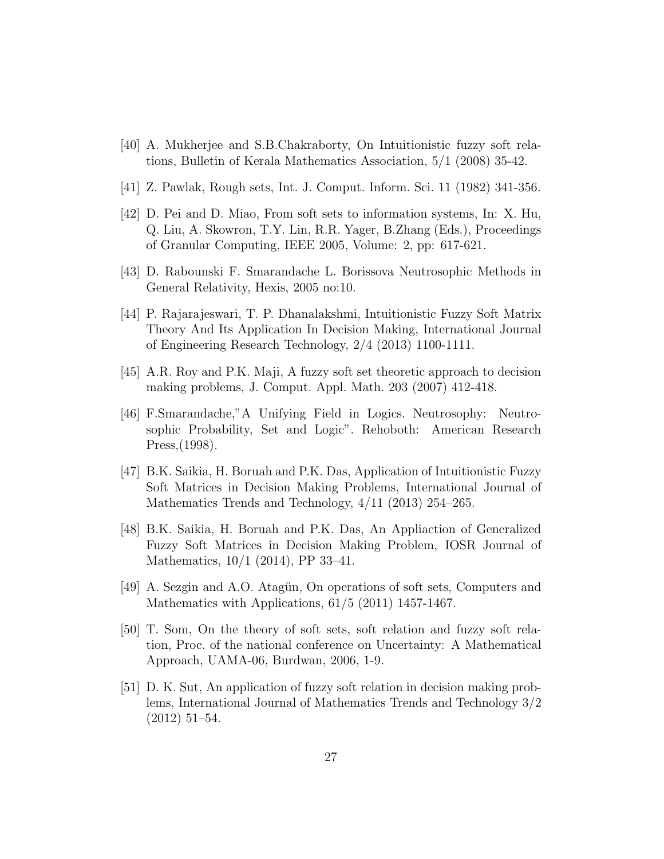- <span id="page-26-5"></span>[40] A. Mukherjee and S.B.Chakraborty, On Intuitionistic fuzzy soft relations, Bulletin of Kerala Mathematics Association, 5/1 (2008) 35-42.
- <span id="page-26-0"></span>[41] Z. Pawlak, Rough sets, Int. J. Comput. Inform. Sci. 11 (1982) 341-356.
- [42] D. Pei and D. Miao, From soft sets to information systems, In: X. Hu, Q. Liu, A. Skowron, T.Y. Lin, R.R. Yager, B.Zhang (Eds.), Proceedings of Granular Computing, IEEE 2005, Volume: 2, pp: 617-621.
- [43] D. Rabounski F. Smarandache L. Borissova Neutrosophic Methods in General Relativity, Hexis, 2005 no:10.
- <span id="page-26-7"></span>[44] P. Rajarajeswari, T. P. Dhanalakshmi, Intuitionistic Fuzzy Soft Matrix Theory And Its Application In Decision Making, International Journal of Engineering Research Technology, 2/4 (2013) 1100-1111.
- <span id="page-26-2"></span>[45] A.R. Roy and P.K. Maji, A fuzzy soft set theoretic approach to decision making problems, J. Comput. Appl. Math. 203 (2007) 412-418.
- <span id="page-26-1"></span>[46] F.Smarandache,"A Unifying Field in Logics. Neutrosophy: Neutrosophic Probability, Set and Logic". Rehoboth: American Research Press,(1998).
- <span id="page-26-8"></span>[47] B.K. Saikia, H. Boruah and P.K. Das, Application of Intuitionistic Fuzzy Soft Matrices in Decision Making Problems, International Journal of Mathematics Trends and Technology, 4/11 (2013) 254–265.
- <span id="page-26-6"></span>[48] B.K. Saikia, H. Boruah and P.K. Das, An Appliaction of Generalized Fuzzy Soft Matrices in Decision Making Problem, IOSR Journal of Mathematics, 10/1 (2014), PP 33–41.
- [49] A. Sezgin and A.O. Atagün, On operations of soft sets, Computers and Mathematics with Applications, 61/5 (2011) 1457-1467.
- <span id="page-26-3"></span>[50] T. Som, On the theory of soft sets, soft relation and fuzzy soft relation, Proc. of the national conference on Uncertainty: A Mathematical Approach, UAMA-06, Burdwan, 2006, 1-9.
- <span id="page-26-4"></span>[51] D. K. Sut, An application of fuzzy soft relation in decision making problems, International Journal of Mathematics Trends and Technology 3/2 (2012) 51–54.